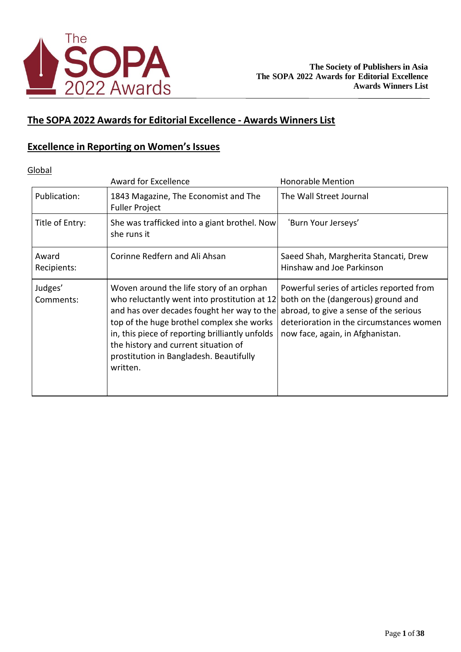

## **The SOPA 2022 Awards for Editorial Excellence - Awards Winners List**

## **Excellence in Reporting on Women'sIssues**

Global

|                      | Award for Excellence                                                                                                                                                                                                                                                                                                                  | <b>Honorable Mention</b>                                                                                                                                                                                  |
|----------------------|---------------------------------------------------------------------------------------------------------------------------------------------------------------------------------------------------------------------------------------------------------------------------------------------------------------------------------------|-----------------------------------------------------------------------------------------------------------------------------------------------------------------------------------------------------------|
| Publication:         | 1843 Magazine, The Economist and The<br><b>Fuller Project</b>                                                                                                                                                                                                                                                                         | The Wall Street Journal                                                                                                                                                                                   |
| Title of Entry:      | She was trafficked into a giant brothel. Now<br>she runs it                                                                                                                                                                                                                                                                           | 'Burn Your Jerseys'                                                                                                                                                                                       |
| Award<br>Recipients: | Corinne Redfern and Ali Ahsan                                                                                                                                                                                                                                                                                                         | Saeed Shah, Margherita Stancati, Drew<br>Hinshaw and Joe Parkinson                                                                                                                                        |
| Judges'<br>Comments: | Woven around the life story of an orphan<br>who reluctantly went into prostitution at 12<br>and has over decades fought her way to the<br>top of the huge brothel complex she works<br>in, this piece of reporting brilliantly unfolds<br>the history and current situation of<br>prostitution in Bangladesh. Beautifully<br>written. | Powerful series of articles reported from<br>both on the (dangerous) ground and<br>abroad, to give a sense of the serious<br>deterioration in the circumstances women<br>now face, again, in Afghanistan. |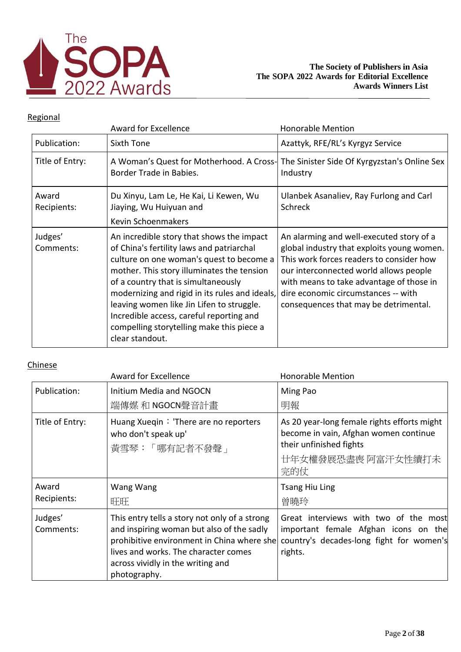

## Regional

|                      | <b>Award for Excellence</b>                                                                                                                                                                                                                                                                                                                                                                                                        | <b>Honorable Mention</b>                                                                                                                                                                                                                                                                                 |
|----------------------|------------------------------------------------------------------------------------------------------------------------------------------------------------------------------------------------------------------------------------------------------------------------------------------------------------------------------------------------------------------------------------------------------------------------------------|----------------------------------------------------------------------------------------------------------------------------------------------------------------------------------------------------------------------------------------------------------------------------------------------------------|
| Publication:         | Sixth Tone                                                                                                                                                                                                                                                                                                                                                                                                                         | Azattyk, RFE/RL's Kyrgyz Service                                                                                                                                                                                                                                                                         |
| Title of Entry:      | Border Trade in Babies.                                                                                                                                                                                                                                                                                                                                                                                                            | A Woman's Quest for Motherhood. A Cross- The Sinister Side Of Kyrgyzstan's Online Sex<br>Industry                                                                                                                                                                                                        |
| Award<br>Recipients: | Du Xinyu, Lam Le, He Kai, Li Kewen, Wu<br>Jiaying, Wu Huiyuan and<br>Kevin Schoenmakers                                                                                                                                                                                                                                                                                                                                            | Ulanbek Asanaliev, Ray Furlong and Carl<br><b>Schreck</b>                                                                                                                                                                                                                                                |
| Judges'<br>Comments: | An incredible story that shows the impact<br>of China's fertility laws and patriarchal<br>culture on one woman's quest to become a<br>mother. This story illuminates the tension<br>of a country that is simultaneously<br>modernizing and rigid in its rules and ideals,<br>leaving women like Jin Lifen to struggle.<br>Incredible access, careful reporting and<br>compelling storytelling make this piece a<br>clear standout. | An alarming and well-executed story of a<br>global industry that exploits young women.<br>This work forces readers to consider how<br>our interconnected world allows people<br>with means to take advantage of those in<br>dire economic circumstances -- with<br>consequences that may be detrimental. |

|                      | <b>Award for Excellence</b>                                                                                                                                                                                                           | <b>Honorable Mention</b>                                                                                                                     |
|----------------------|---------------------------------------------------------------------------------------------------------------------------------------------------------------------------------------------------------------------------------------|----------------------------------------------------------------------------------------------------------------------------------------------|
| Publication:         | <b>Initium Media and NGOCN</b><br>端傳媒 和 NGOCN聲音計畫                                                                                                                                                                                     | Ming Pao<br>明報                                                                                                                               |
| Title of Entry:      | Huang Xueqin: 'There are no reporters<br>who don't speak up'<br>黃雪琴:「哪有記者不發聲」                                                                                                                                                         | As 20 year-long female rights efforts might<br>become in vain, Afghan women continue<br>their unfinished fights<br>廿年女權發展恐盡喪 阿富汗女性續打未<br>完的仗 |
| Award<br>Recipients: | Wang Wang<br>旺旺                                                                                                                                                                                                                       | <b>Tsang Hiu Ling</b><br>曾曉玲                                                                                                                 |
| Judges'<br>Comments: | This entry tells a story not only of a strong<br>and inspiring woman but also of the sadly<br>prohibitive environment in China where she<br>lives and works. The character comes<br>across vividly in the writing and<br>photography. | Great interviews with two of the most<br>important female Afghan icons on the<br>country's decades-long fight for women's<br>rights.         |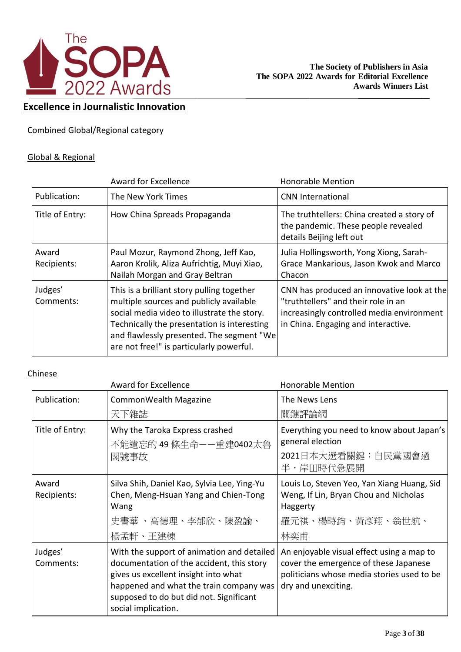

## **Excellence in Journalistic Innovation**

Combined Global/Regional category

### Global & Regional

|                      | <b>Award for Excellence</b>                                                                                                                                                                                                                                                  | <b>Honorable Mention</b>                                                                                                                                              |
|----------------------|------------------------------------------------------------------------------------------------------------------------------------------------------------------------------------------------------------------------------------------------------------------------------|-----------------------------------------------------------------------------------------------------------------------------------------------------------------------|
| Publication:         | The New York Times                                                                                                                                                                                                                                                           | <b>CNN International</b>                                                                                                                                              |
| Title of Entry:      | How China Spreads Propaganda                                                                                                                                                                                                                                                 | The truthtellers: China created a story of<br>the pandemic. These people revealed<br>details Beijing left out                                                         |
| Award<br>Recipients: | Paul Mozur, Raymond Zhong, Jeff Kao,<br>Aaron Krolik, Aliza Aufrichtig, Muyi Xiao,<br>Nailah Morgan and Gray Beltran                                                                                                                                                         | Julia Hollingsworth, Yong Xiong, Sarah-<br>Grace Mankarious, Jason Kwok and Marco<br>Chacon                                                                           |
| Judges'<br>Comments: | This is a brilliant story pulling together<br>multiple sources and publicly available<br>social media video to illustrate the story.<br>Technically the presentation is interesting<br>and flawlessly presented. The segment "We<br>are not free!" is particularly powerful. | CNN has produced an innovative look at the<br>"truthtellers" and their role in an<br>increasingly controlled media environment<br>in China. Engaging and interactive. |

|                      | <b>Award for Excellence</b>                                                                                                                                                                                                                  | <b>Honorable Mention</b>                                                                                                                                |
|----------------------|----------------------------------------------------------------------------------------------------------------------------------------------------------------------------------------------------------------------------------------------|---------------------------------------------------------------------------------------------------------------------------------------------------------|
| Publication:         | CommonWealth Magazine                                                                                                                                                                                                                        | The News Lens                                                                                                                                           |
|                      | 天下雜誌                                                                                                                                                                                                                                         | 關鍵評論網                                                                                                                                                   |
| Title of Entry:      | Why the Taroka Express crashed<br>不能遺忘的 49 條生命——重建0402太魯<br>閣號事故                                                                                                                                                                             | Everything you need to know about Japan's<br>general election                                                                                           |
|                      |                                                                                                                                                                                                                                              | 2021日本大選看關鍵:自民黨國會過<br>半,岸田時代急展開                                                                                                                         |
| Award<br>Recipients: | Silva Shih, Daniel Kao, Sylvia Lee, Ying-Yu<br>Chen, Meng-Hsuan Yang and Chien-Tong<br>Wang<br>史書華 、高德理、李郁欣、陳盈諭、<br>楊孟軒、王建棟                                                                                                                  | Louis Lo, Steven Yeo, Yan Xiang Huang, Sid<br>Weng, If Lin, Bryan Chou and Nicholas<br>Haggerty<br>羅元祺、楊時鈞、黃彥翔、翁世航、<br>林奕甫                              |
| Judges'<br>Comments: | With the support of animation and detailed<br>documentation of the accident, this story<br>gives us excellent insight into what<br>happened and what the train company was<br>supposed to do but did not. Significant<br>social implication. | An enjoyable visual effect using a map to<br>cover the emergence of these Japanese<br>politicians whose media stories used to be<br>dry and unexciting. |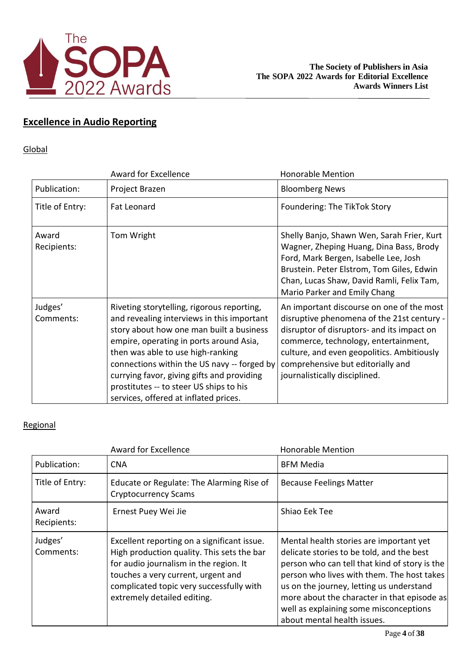

# **Excellence in Audio Reporting**

### Global

|                      | Award for Excellence                                                                                                                                                                                                                                                                                                                                                                                  | <b>Honorable Mention</b>                                                                                                                                                                                                                                                                          |
|----------------------|-------------------------------------------------------------------------------------------------------------------------------------------------------------------------------------------------------------------------------------------------------------------------------------------------------------------------------------------------------------------------------------------------------|---------------------------------------------------------------------------------------------------------------------------------------------------------------------------------------------------------------------------------------------------------------------------------------------------|
| Publication:         | Project Brazen                                                                                                                                                                                                                                                                                                                                                                                        | <b>Bloomberg News</b>                                                                                                                                                                                                                                                                             |
| Title of Entry:      | Fat Leonard                                                                                                                                                                                                                                                                                                                                                                                           | Foundering: The TikTok Story                                                                                                                                                                                                                                                                      |
| Award<br>Recipients: | Tom Wright                                                                                                                                                                                                                                                                                                                                                                                            | Shelly Banjo, Shawn Wen, Sarah Frier, Kurt<br>Wagner, Zheping Huang, Dina Bass, Brody<br>Ford, Mark Bergen, Isabelle Lee, Josh<br>Brustein. Peter Elstrom, Tom Giles, Edwin<br>Chan, Lucas Shaw, David Ramli, Felix Tam,<br>Mario Parker and Emily Chang                                          |
| Judges'<br>Comments: | Riveting storytelling, rigorous reporting,<br>and revealing interviews in this important<br>story about how one man built a business<br>empire, operating in ports around Asia,<br>then was able to use high-ranking<br>connections within the US navy -- forged by<br>currying favor, giving gifts and providing<br>prostitutes -- to steer US ships to his<br>services, offered at inflated prices. | An important discourse on one of the most<br>disruptive phenomena of the 21st century -<br>disruptor of disruptors- and its impact on<br>commerce, technology, entertainment,<br>culture, and even geopolitics. Ambitiously<br>comprehensive but editorially and<br>journalistically disciplined. |

|                      | <b>Award for Excellence</b>                                                                                                                                                                                                                          | <b>Honorable Mention</b>                                                                                                                                                                                                                                                                                                                                |
|----------------------|------------------------------------------------------------------------------------------------------------------------------------------------------------------------------------------------------------------------------------------------------|---------------------------------------------------------------------------------------------------------------------------------------------------------------------------------------------------------------------------------------------------------------------------------------------------------------------------------------------------------|
| Publication:         | <b>CNA</b>                                                                                                                                                                                                                                           | <b>BFM Media</b>                                                                                                                                                                                                                                                                                                                                        |
| Title of Entry:      | Educate or Regulate: The Alarming Rise of<br><b>Cryptocurrency Scams</b>                                                                                                                                                                             | <b>Because Feelings Matter</b>                                                                                                                                                                                                                                                                                                                          |
| Award<br>Recipients: | Ernest Puey Wei Jie                                                                                                                                                                                                                                  | Shiao Eek Tee                                                                                                                                                                                                                                                                                                                                           |
| Judges'<br>Comments: | Excellent reporting on a significant issue.<br>High production quality. This sets the bar<br>for audio journalism in the region. It<br>touches a very current, urgent and<br>complicated topic very successfully with<br>extremely detailed editing. | Mental health stories are important yet<br>delicate stories to be told, and the best<br>person who can tell that kind of story is the<br>person who lives with them. The host takes<br>us on the journey, letting us understand<br>more about the character in that episode as<br>well as explaining some misconceptions<br>about mental health issues. |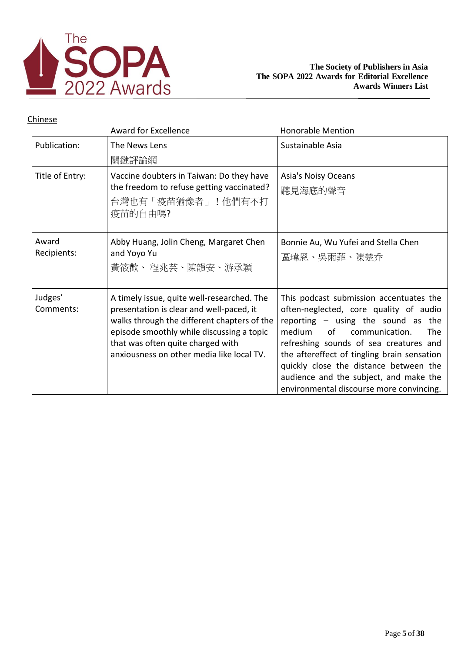

|                      | <b>Award for Excellence</b>                                                                                                                                                                                                                                          | <b>Honorable Mention</b>                                                                                                                                                                                                                                                                                                                                                                          |
|----------------------|----------------------------------------------------------------------------------------------------------------------------------------------------------------------------------------------------------------------------------------------------------------------|---------------------------------------------------------------------------------------------------------------------------------------------------------------------------------------------------------------------------------------------------------------------------------------------------------------------------------------------------------------------------------------------------|
| Publication:         | The News Lens<br>關鍵評論網                                                                                                                                                                                                                                               | Sustainable Asia                                                                                                                                                                                                                                                                                                                                                                                  |
| Title of Entry:      | Vaccine doubters in Taiwan: Do they have<br>the freedom to refuse getting vaccinated?<br>台灣也有「疫苗猶豫者」!他們有不打<br>疫苗的自由嗎?                                                                                                                                                | Asia's Noisy Oceans<br>聽見海底的聲音                                                                                                                                                                                                                                                                                                                                                                    |
| Award<br>Recipients: | Abby Huang, Jolin Cheng, Margaret Chen<br>and Yoyo Yu<br>黃筱歡、 程兆芸、陳韻安、游承穎                                                                                                                                                                                            | Bonnie Au, Wu Yufei and Stella Chen<br>區瑋恩、吳雨菲、陳楚乔                                                                                                                                                                                                                                                                                                                                                |
| Judges'<br>Comments: | A timely issue, quite well-researched. The<br>presentation is clear and well-paced, it<br>walks through the different chapters of the<br>episode smoothly while discussing a topic<br>that was often quite charged with<br>anxiousness on other media like local TV. | This podcast submission accentuates the<br>often-neglected, core quality of audio<br>reporting - using the sound as the<br>of<br>communication.<br>medium.<br><b>The</b><br>refreshing sounds of sea creatures and<br>the aftereffect of tingling brain sensation<br>quickly close the distance between the<br>audience and the subject, and make the<br>environmental discourse more convincing. |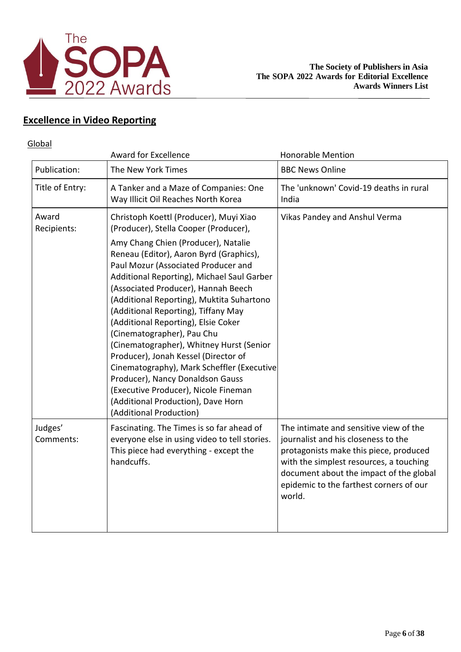

## **Excellence in Video Reporting**

### **Global**

|                      | <b>Award for Excellence</b>                                                                                                                                                                                                                                                                                                                                                                                                                                                                                                                                                                                                                                                                                                           | <b>Honorable Mention</b>                                                                                                                                                                                                                                           |
|----------------------|---------------------------------------------------------------------------------------------------------------------------------------------------------------------------------------------------------------------------------------------------------------------------------------------------------------------------------------------------------------------------------------------------------------------------------------------------------------------------------------------------------------------------------------------------------------------------------------------------------------------------------------------------------------------------------------------------------------------------------------|--------------------------------------------------------------------------------------------------------------------------------------------------------------------------------------------------------------------------------------------------------------------|
| Publication:         | The New York Times                                                                                                                                                                                                                                                                                                                                                                                                                                                                                                                                                                                                                                                                                                                    | <b>BBC News Online</b>                                                                                                                                                                                                                                             |
| Title of Entry:      | A Tanker and a Maze of Companies: One<br>Way Illicit Oil Reaches North Korea                                                                                                                                                                                                                                                                                                                                                                                                                                                                                                                                                                                                                                                          | The 'unknown' Covid-19 deaths in rural<br>India                                                                                                                                                                                                                    |
| Award<br>Recipients: | Christoph Koettl (Producer), Muyi Xiao<br>(Producer), Stella Cooper (Producer),<br>Amy Chang Chien (Producer), Natalie<br>Reneau (Editor), Aaron Byrd (Graphics),<br>Paul Mozur (Associated Producer and<br>Additional Reporting), Michael Saul Garber<br>(Associated Producer), Hannah Beech<br>(Additional Reporting), Muktita Suhartono<br>(Additional Reporting), Tiffany May<br>(Additional Reporting), Elsie Coker<br>(Cinematographer), Pau Chu<br>(Cinematographer), Whitney Hurst (Senior<br>Producer), Jonah Kessel (Director of<br>Cinematography), Mark Scheffler (Executive<br>Producer), Nancy Donaldson Gauss<br>(Executive Producer), Nicole Fineman<br>(Additional Production), Dave Horn<br>(Additional Production) | Vikas Pandey and Anshul Verma                                                                                                                                                                                                                                      |
| Judges'<br>Comments: | Fascinating. The Times is so far ahead of<br>everyone else in using video to tell stories.<br>This piece had everything - except the<br>handcuffs.                                                                                                                                                                                                                                                                                                                                                                                                                                                                                                                                                                                    | The intimate and sensitive view of the<br>journalist and his closeness to the<br>protagonists make this piece, produced<br>with the simplest resources, a touching<br>document about the impact of the global<br>epidemic to the farthest corners of our<br>world. |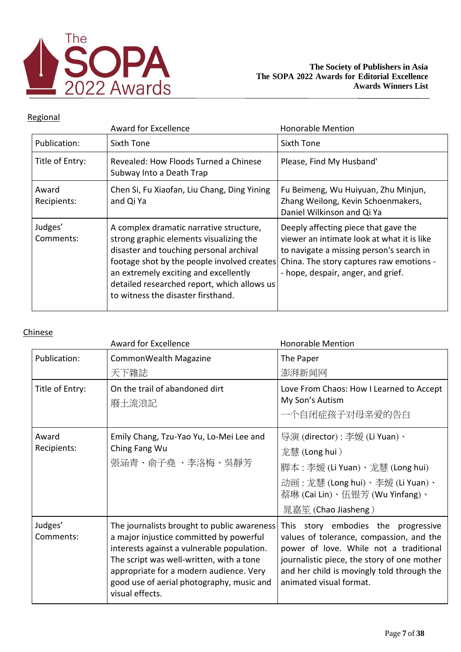

## Regional

|                      | Award for Excellence                                                                                                                                                                                                                                                                                       | <b>Honorable Mention</b>                                                                                                                                                                                         |
|----------------------|------------------------------------------------------------------------------------------------------------------------------------------------------------------------------------------------------------------------------------------------------------------------------------------------------------|------------------------------------------------------------------------------------------------------------------------------------------------------------------------------------------------------------------|
| Publication:         | Sixth Tone                                                                                                                                                                                                                                                                                                 | Sixth Tone                                                                                                                                                                                                       |
| Title of Entry:      | Revealed: How Floods Turned a Chinese<br>Subway Into a Death Trap                                                                                                                                                                                                                                          | Please, Find My Husband'                                                                                                                                                                                         |
| Award<br>Recipients: | Chen Si, Fu Xiaofan, Liu Chang, Ding Yining<br>and Qi Ya                                                                                                                                                                                                                                                   | Fu Beimeng, Wu Huiyuan, Zhu Minjun,<br>Zhang Weilong, Kevin Schoenmakers,<br>Daniel Wilkinson and Qi Ya                                                                                                          |
| Judges'<br>Comments: | A complex dramatic narrative structure,<br>strong graphic elements visualizing the<br>disaster and touching personal archival<br>footage shot by the people involved creates<br>an extremely exciting and excellently<br>detailed researched report, which allows us<br>to witness the disaster firsthand. | Deeply affecting piece that gave the<br>viewer an intimate look at what it is like<br>to navigate a missing person's search in<br>China. The story captures raw emotions -<br>- hope, despair, anger, and grief. |

|                      | <b>Award for Excellence</b>                                                                                                                                                                                                                                                                 | <b>Honorable Mention</b>                                                                                                                                                                                                                                    |
|----------------------|---------------------------------------------------------------------------------------------------------------------------------------------------------------------------------------------------------------------------------------------------------------------------------------------|-------------------------------------------------------------------------------------------------------------------------------------------------------------------------------------------------------------------------------------------------------------|
| Publication:         | CommonWealth Magazine                                                                                                                                                                                                                                                                       | The Paper                                                                                                                                                                                                                                                   |
|                      | 天下雜誌                                                                                                                                                                                                                                                                                        | 澎湃新闻网                                                                                                                                                                                                                                                       |
| Title of Entry:      | On the trail of abandoned dirt<br>廢土流浪記                                                                                                                                                                                                                                                     | Love From Chaos: How I Learned to Accept<br>My Son's Autism<br>一个自闭症孩子对母亲爱的告白                                                                                                                                                                               |
| Award<br>Recipients: | Emily Chang, Tzu-Yao Yu, Lo-Mei Lee and<br>Ching Fang Wu<br>張涵青、俞子堯 、李洛梅、吳靜芳                                                                                                                                                                                                                | 导演 (director) : 李媛 (Li Yuan)、<br>龙慧 (Long hui )<br>脚本 : 李媛 (Li Yuan)、龙慧 (Long hui)<br>动画:龙慧(Long hui)、李媛(Li Yuan)、<br>蔡琳 (Cai Lin)、伍银芳 (Wu Yinfang)、<br>晁嘉笙 (Chao Jiasheng)                                                                                 |
| Judges'<br>Comments: | The journalists brought to public awareness<br>a major injustice committed by powerful<br>interests against a vulnerable population.<br>The script was well-written, with a tone<br>appropriate for a modern audience. Very<br>good use of aerial photography, music and<br>visual effects. | story embodies the progressive<br><b>This</b><br>values of tolerance, compassion, and the<br>power of love. While not a traditional<br>journalistic piece, the story of one mother<br>and her child is movingly told through the<br>animated visual format. |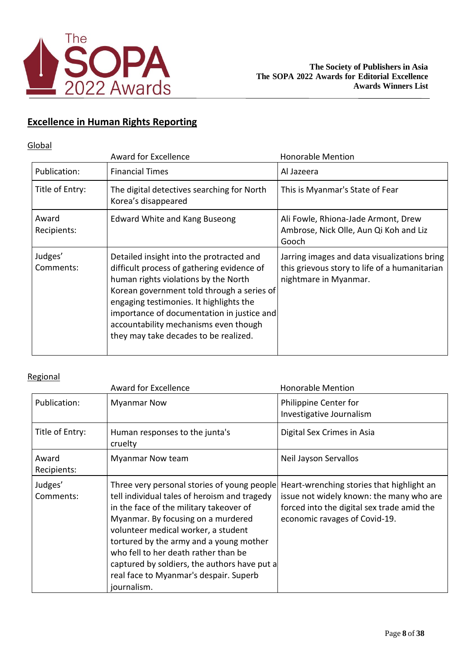

## **Excellence in Human Rights Reporting**

## **Global**

|                      | <b>Award for Excellence</b>                                                                                                                                                                                                                                                                                                                             | <b>Honorable Mention</b>                                                                                               |
|----------------------|---------------------------------------------------------------------------------------------------------------------------------------------------------------------------------------------------------------------------------------------------------------------------------------------------------------------------------------------------------|------------------------------------------------------------------------------------------------------------------------|
| Publication:         | <b>Financial Times</b>                                                                                                                                                                                                                                                                                                                                  | Al Jazeera                                                                                                             |
| Title of Entry:      | The digital detectives searching for North<br>Korea's disappeared                                                                                                                                                                                                                                                                                       | This is Myanmar's State of Fear                                                                                        |
| Award<br>Recipients: | <b>Edward White and Kang Buseong</b>                                                                                                                                                                                                                                                                                                                    | Ali Fowle, Rhiona-Jade Armont, Drew<br>Ambrose, Nick Olle, Aun Qi Koh and Liz<br>Gooch                                 |
| Judges'<br>Comments: | Detailed insight into the protracted and<br>difficult process of gathering evidence of<br>human rights violations by the North<br>Korean government told through a series of<br>engaging testimonies. It highlights the<br>importance of documentation in justice and<br>accountability mechanisms even though<br>they may take decades to be realized. | Jarring images and data visualizations bring<br>this grievous story to life of a humanitarian<br>nightmare in Myanmar. |

|                      | <b>Award for Excellence</b>                                                                                                                                                                                                                                                                                                                                                                                     | <b>Honorable Mention</b>                                                                                                                                             |
|----------------------|-----------------------------------------------------------------------------------------------------------------------------------------------------------------------------------------------------------------------------------------------------------------------------------------------------------------------------------------------------------------------------------------------------------------|----------------------------------------------------------------------------------------------------------------------------------------------------------------------|
| Publication:         | <b>Myanmar Now</b>                                                                                                                                                                                                                                                                                                                                                                                              | Philippine Center for<br>Investigative Journalism                                                                                                                    |
| Title of Entry:      | Human responses to the junta's<br>cruelty                                                                                                                                                                                                                                                                                                                                                                       | Digital Sex Crimes in Asia                                                                                                                                           |
| Award<br>Recipients: | <b>Myanmar Now team</b>                                                                                                                                                                                                                                                                                                                                                                                         | Neil Jayson Servallos                                                                                                                                                |
| Judges'<br>Comments: | Three very personal stories of young people<br>tell individual tales of heroism and tragedy<br>in the face of the military takeover of<br>Myanmar. By focusing on a murdered<br>volunteer medical worker, a student<br>tortured by the army and a young mother<br>who fell to her death rather than be<br>captured by soldiers, the authors have put a<br>real face to Myanmar's despair. Superb<br>journalism. | Heart-wrenching stories that highlight an<br>issue not widely known: the many who are<br>forced into the digital sex trade amid the<br>economic ravages of Covid-19. |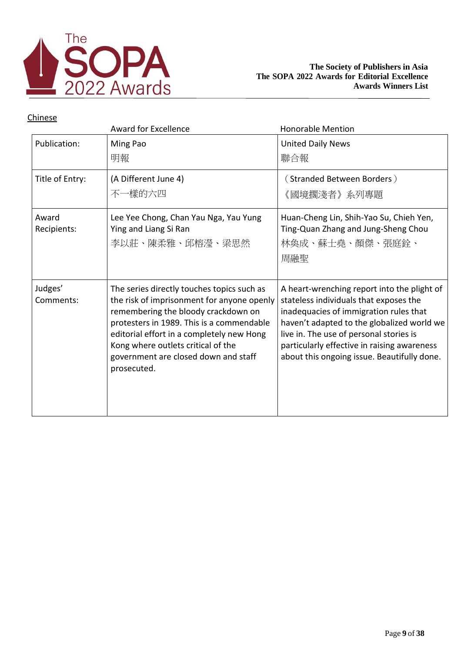

|                      | <b>Award for Excellence</b>                                                                                                                                                                                                                                                                                            | <b>Honorable Mention</b>                                                                                                                                                                                                                                                                                               |
|----------------------|------------------------------------------------------------------------------------------------------------------------------------------------------------------------------------------------------------------------------------------------------------------------------------------------------------------------|------------------------------------------------------------------------------------------------------------------------------------------------------------------------------------------------------------------------------------------------------------------------------------------------------------------------|
| Publication:         | Ming Pao<br>明報                                                                                                                                                                                                                                                                                                         | <b>United Daily News</b><br>聯合報                                                                                                                                                                                                                                                                                        |
| Title of Entry:      | (A Different June 4)<br>不一樣的六四                                                                                                                                                                                                                                                                                         | (Stranded Between Borders)<br>《國境擱淺者》系列專題                                                                                                                                                                                                                                                                              |
| Award<br>Recipients: | Lee Yee Chong, Chan Yau Nga, Yau Yung<br>Ying and Liang Si Ran<br>李以莊、陳柔雅、邱榕瀅、梁思然                                                                                                                                                                                                                                      | Huan-Cheng Lin, Shih-Yao Su, Chieh Yen,<br>Ting-Quan Zhang and Jung-Sheng Chou<br>林奂成、蘇士堯、顏傑、張庭銓、<br>周融聖                                                                                                                                                                                                               |
| Judges'<br>Comments: | The series directly touches topics such as<br>the risk of imprisonment for anyone openly<br>remembering the bloody crackdown on<br>protesters in 1989. This is a commendable<br>editorial effort in a completely new Hong<br>Kong where outlets critical of the<br>government are closed down and staff<br>prosecuted. | A heart-wrenching report into the plight of<br>stateless individuals that exposes the<br>inadequacies of immigration rules that<br>haven't adapted to the globalized world we<br>live in. The use of personal stories is<br>particularly effective in raising awareness<br>about this ongoing issue. Beautifully done. |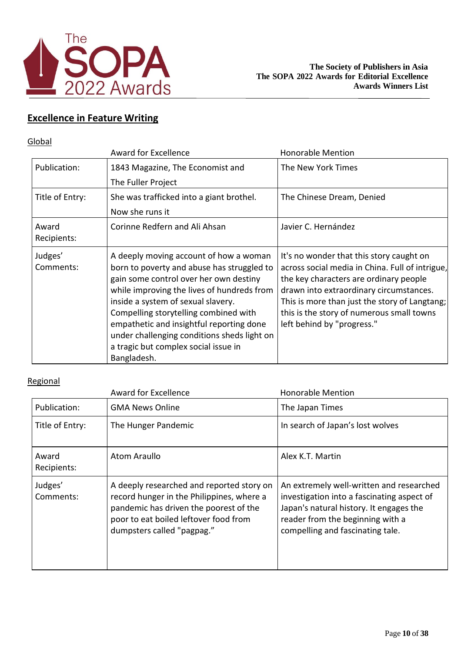

## **Excellence in Feature Writing**

#### **Global**

|                      | <b>Award for Excellence</b>                                                                                                                                                                                                                                                                                                                                                                                   | <b>Honorable Mention</b>                                                                                                                                                                                                                                                                                     |
|----------------------|---------------------------------------------------------------------------------------------------------------------------------------------------------------------------------------------------------------------------------------------------------------------------------------------------------------------------------------------------------------------------------------------------------------|--------------------------------------------------------------------------------------------------------------------------------------------------------------------------------------------------------------------------------------------------------------------------------------------------------------|
| Publication:         | 1843 Magazine, The Economist and                                                                                                                                                                                                                                                                                                                                                                              | The New York Times                                                                                                                                                                                                                                                                                           |
|                      | The Fuller Project                                                                                                                                                                                                                                                                                                                                                                                            |                                                                                                                                                                                                                                                                                                              |
| Title of Entry:      | She was trafficked into a giant brothel.                                                                                                                                                                                                                                                                                                                                                                      | The Chinese Dream, Denied                                                                                                                                                                                                                                                                                    |
|                      | Now she runs it                                                                                                                                                                                                                                                                                                                                                                                               |                                                                                                                                                                                                                                                                                                              |
| Award<br>Recipients: | Corinne Redfern and Ali Ahsan                                                                                                                                                                                                                                                                                                                                                                                 | Javier C. Hernández                                                                                                                                                                                                                                                                                          |
| Judges'<br>Comments: | A deeply moving account of how a woman<br>born to poverty and abuse has struggled to<br>gain some control over her own destiny<br>while improving the lives of hundreds from<br>inside a system of sexual slavery.<br>Compelling storytelling combined with<br>empathetic and insightful reporting done<br>under challenging conditions sheds light on<br>a tragic but complex social issue in<br>Bangladesh. | It's no wonder that this story caught on<br>across social media in China. Full of intrigue,<br>the key characters are ordinary people<br>drawn into extraordinary circumstances.<br>This is more than just the story of Langtang;<br>this is the story of numerous small towns<br>left behind by "progress." |

|                      | <b>Award for Excellence</b>                                                                                                                                                                             | <b>Honorable Mention</b>                                                                                                                                                                                  |
|----------------------|---------------------------------------------------------------------------------------------------------------------------------------------------------------------------------------------------------|-----------------------------------------------------------------------------------------------------------------------------------------------------------------------------------------------------------|
| Publication:         | <b>GMA News Online</b>                                                                                                                                                                                  | The Japan Times                                                                                                                                                                                           |
| Title of Entry:      | The Hunger Pandemic                                                                                                                                                                                     | In search of Japan's lost wolves                                                                                                                                                                          |
| Award<br>Recipients: | Atom Araullo                                                                                                                                                                                            | Alex K.T. Martin                                                                                                                                                                                          |
| Judges'<br>Comments: | A deeply researched and reported story on<br>record hunger in the Philippines, where a<br>pandemic has driven the poorest of the<br>poor to eat boiled leftover food from<br>dumpsters called "pagpag." | An extremely well-written and researched<br>investigation into a fascinating aspect of<br>Japan's natural history. It engages the<br>reader from the beginning with a<br>compelling and fascinating tale. |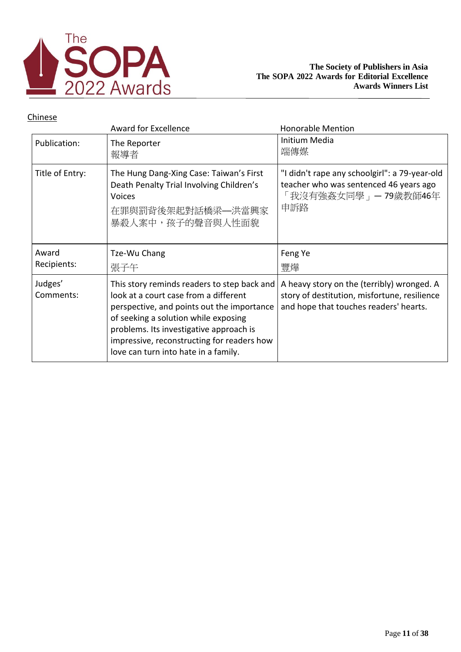

|                 | <b>Award for Excellence</b>                                                                                                                   | <b>Honorable Mention</b>                                                                                              |
|-----------------|-----------------------------------------------------------------------------------------------------------------------------------------------|-----------------------------------------------------------------------------------------------------------------------|
| Publication:    | The Reporter<br>報導者                                                                                                                           | Initium Media<br>端傳媒                                                                                                  |
| Title of Entry: | The Hung Dang-Xing Case: Taiwan's First<br>Death Penalty Trial Involving Children's<br><b>Voices</b><br>在罪與罰背後架起對話橋梁—洪當興家<br>暴殺人案中,孩子的聲音與人性面貌 | "I didn't rape any schoolgirl": a 79-year-old<br>teacher who was sentenced 46 years ago<br>「我沒有強姦女同學」—79歲教師46年<br>申訴路 |
| Award           | Tze-Wu Chang                                                                                                                                  | Feng Ye                                                                                                               |
|                 |                                                                                                                                               |                                                                                                                       |
| Recipients:     | 張子午                                                                                                                                           | 豐燁                                                                                                                    |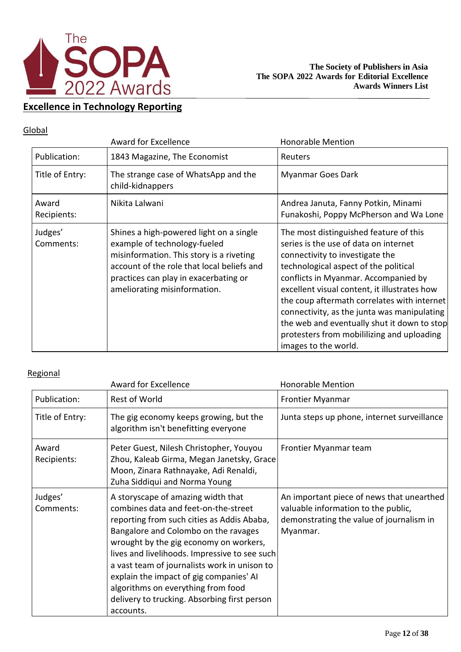

## **Excellence in Technology Reporting**

### Global

|                      | <b>Award for Excellence</b>                                                                                                                                                                                                                | <b>Honorable Mention</b>                                                                                                                                                                                                                                                                                                                                                                                                                                               |
|----------------------|--------------------------------------------------------------------------------------------------------------------------------------------------------------------------------------------------------------------------------------------|------------------------------------------------------------------------------------------------------------------------------------------------------------------------------------------------------------------------------------------------------------------------------------------------------------------------------------------------------------------------------------------------------------------------------------------------------------------------|
| Publication:         | 1843 Magazine, The Economist                                                                                                                                                                                                               | Reuters                                                                                                                                                                                                                                                                                                                                                                                                                                                                |
| Title of Entry:      | The strange case of WhatsApp and the<br>child-kidnappers                                                                                                                                                                                   | Myanmar Goes Dark                                                                                                                                                                                                                                                                                                                                                                                                                                                      |
| Award<br>Recipients: | Nikita Lalwani                                                                                                                                                                                                                             | Andrea Januta, Fanny Potkin, Minami<br>Funakoshi, Poppy McPherson and Wa Lone                                                                                                                                                                                                                                                                                                                                                                                          |
| Judges'<br>Comments: | Shines a high-powered light on a single<br>example of technology-fueled<br>misinformation. This story is a riveting<br>account of the role that local beliefs and<br>practices can play in exacerbating or<br>ameliorating misinformation. | The most distinguished feature of this<br>series is the use of data on internet<br>connectivity to investigate the<br>technological aspect of the political<br>conflicts in Myanmar. Accompanied by<br>excellent visual content, it illustrates how<br>the coup aftermath correlates with internet<br>connectivity, as the junta was manipulating<br>the web and eventually shut it down to stop<br>protesters from mobililizing and uploading<br>images to the world. |

|                      | <b>Award for Excellence</b>                                                                                                                                                                                                                                                                                                                                                                                                                               | <b>Honorable Mention</b>                                                                                                                 |
|----------------------|-----------------------------------------------------------------------------------------------------------------------------------------------------------------------------------------------------------------------------------------------------------------------------------------------------------------------------------------------------------------------------------------------------------------------------------------------------------|------------------------------------------------------------------------------------------------------------------------------------------|
| Publication:         | <b>Rest of World</b>                                                                                                                                                                                                                                                                                                                                                                                                                                      | Frontier Myanmar                                                                                                                         |
| Title of Entry:      | The gig economy keeps growing, but the<br>algorithm isn't benefitting everyone                                                                                                                                                                                                                                                                                                                                                                            | Junta steps up phone, internet surveillance                                                                                              |
| Award<br>Recipients: | Peter Guest, Nilesh Christopher, Youyou<br>Zhou, Kaleab Girma, Megan Janetsky, Grace<br>Moon, Zinara Rathnayake, Adi Renaldi,<br>Zuha Siddiqui and Norma Young                                                                                                                                                                                                                                                                                            | Frontier Myanmar team                                                                                                                    |
| Judges'<br>Comments: | A storyscape of amazing width that<br>combines data and feet-on-the-street<br>reporting from such cities as Addis Ababa,<br>Bangalore and Colombo on the ravages<br>wrought by the gig economy on workers,<br>lives and livelihoods. Impressive to see such<br>a vast team of journalists work in unison to<br>explain the impact of gig companies' AI<br>algorithms on everything from food<br>delivery to trucking. Absorbing first person<br>accounts. | An important piece of news that unearthed<br>valuable information to the public,<br>demonstrating the value of journalism in<br>Myanmar. |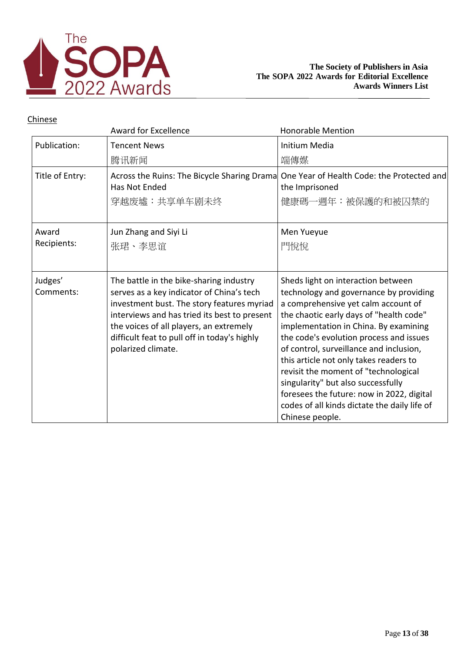

|                      | <b>Award for Excellence</b>                                                                                                                                                                                                                                                                         | <b>Honorable Mention</b>                                                                                                                                                                                                                                                                                                                                                                                                                                                                                                              |
|----------------------|-----------------------------------------------------------------------------------------------------------------------------------------------------------------------------------------------------------------------------------------------------------------------------------------------------|---------------------------------------------------------------------------------------------------------------------------------------------------------------------------------------------------------------------------------------------------------------------------------------------------------------------------------------------------------------------------------------------------------------------------------------------------------------------------------------------------------------------------------------|
| Publication:         | <b>Tencent News</b>                                                                                                                                                                                                                                                                                 | Initium Media                                                                                                                                                                                                                                                                                                                                                                                                                                                                                                                         |
|                      | 腾讯新闻                                                                                                                                                                                                                                                                                                | 端傳媒                                                                                                                                                                                                                                                                                                                                                                                                                                                                                                                                   |
| Title of Entry:      | Across the Ruins: The Bicycle Sharing Drama<br>Has Not Ended<br>穿越废墟:共享单车剧未终                                                                                                                                                                                                                        | One Year of Health Code: the Protected and<br>the Imprisoned<br>健康碼一週年:被保護的和被囚禁的                                                                                                                                                                                                                                                                                                                                                                                                                                                      |
| Award<br>Recipients: | Jun Zhang and Siyi Li<br>张珺、李思谊                                                                                                                                                                                                                                                                     | Men Yueyue<br>門悅悅                                                                                                                                                                                                                                                                                                                                                                                                                                                                                                                     |
| Judges'<br>Comments: | The battle in the bike-sharing industry<br>serves as a key indicator of China's tech<br>investment bust. The story features myriad<br>interviews and has tried its best to present<br>the voices of all players, an extremely<br>difficult feat to pull off in today's highly<br>polarized climate. | Sheds light on interaction between<br>technology and governance by providing<br>a comprehensive yet calm account of<br>the chaotic early days of "health code"<br>implementation in China. By examining<br>the code's evolution process and issues<br>of control, surveillance and inclusion,<br>this article not only takes readers to<br>revisit the moment of "technological<br>singularity" but also successfully<br>foresees the future: now in 2022, digital<br>codes of all kinds dictate the daily life of<br>Chinese people. |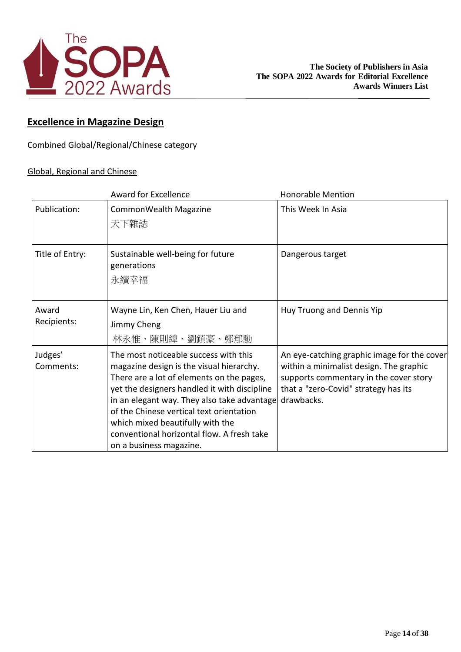

## **Excellence in Magazine Design**

Combined Global/Regional/Chinese category

### Global, Regional and Chinese

|                      | <b>Award for Excellence</b>                                                                                                                                                                                                                                                                                                                                                            | <b>Honorable Mention</b>                                                                                                                                                               |
|----------------------|----------------------------------------------------------------------------------------------------------------------------------------------------------------------------------------------------------------------------------------------------------------------------------------------------------------------------------------------------------------------------------------|----------------------------------------------------------------------------------------------------------------------------------------------------------------------------------------|
| Publication:         | CommonWealth Magazine<br>天下雜誌                                                                                                                                                                                                                                                                                                                                                          | This Week In Asia                                                                                                                                                                      |
| Title of Entry:      | Sustainable well-being for future<br>generations<br>永續幸福                                                                                                                                                                                                                                                                                                                               | Dangerous target                                                                                                                                                                       |
| Award<br>Recipients: | Wayne Lin, Ken Chen, Hauer Liu and<br>Jimmy Cheng<br>林永惟、陳則緯、劉鎮豪、鄭郁勳                                                                                                                                                                                                                                                                                                                   | Huy Truong and Dennis Yip                                                                                                                                                              |
| Judges'<br>Comments: | The most noticeable success with this<br>magazine design is the visual hierarchy.<br>There are a lot of elements on the pages,<br>yet the designers handled it with discipline<br>in an elegant way. They also take advantage<br>of the Chinese vertical text orientation<br>which mixed beautifully with the<br>conventional horizontal flow. A fresh take<br>on a business magazine. | An eye-catching graphic image for the cover<br>within a minimalist design. The graphic<br>supports commentary in the cover story<br>that a "zero-Covid" strategy has its<br>drawbacks. |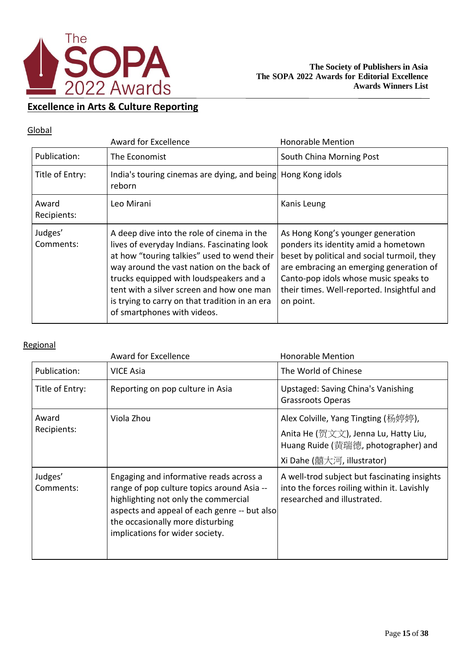

## **Excellence in Arts & Culture Reporting**

### **Global**

|                      | Award for Excellence                                                                                                                                                                                                                                                                                                                                           | <b>Honorable Mention</b>                                                                                                                                                                                                                                                |
|----------------------|----------------------------------------------------------------------------------------------------------------------------------------------------------------------------------------------------------------------------------------------------------------------------------------------------------------------------------------------------------------|-------------------------------------------------------------------------------------------------------------------------------------------------------------------------------------------------------------------------------------------------------------------------|
| Publication:         | The Economist                                                                                                                                                                                                                                                                                                                                                  | South China Morning Post                                                                                                                                                                                                                                                |
| Title of Entry:      | India's touring cinemas are dying, and being Hong Kong idols<br>reborn                                                                                                                                                                                                                                                                                         |                                                                                                                                                                                                                                                                         |
| Award<br>Recipients: | Leo Mirani                                                                                                                                                                                                                                                                                                                                                     | Kanis Leung                                                                                                                                                                                                                                                             |
| Judges'<br>Comments: | A deep dive into the role of cinema in the<br>lives of everyday Indians. Fascinating look<br>at how "touring talkies" used to wend their<br>way around the vast nation on the back of<br>trucks equipped with loudspeakers and a<br>tent with a silver screen and how one man<br>is trying to carry on that tradition in an era<br>of smartphones with videos. | As Hong Kong's younger generation<br>ponders its identity amid a hometown<br>beset by political and social turmoil, they<br>are embracing an emerging generation of<br>Canto-pop idols whose music speaks to<br>their times. Well-reported. Insightful and<br>on point. |

|                      | <b>Award for Excellence</b>                                                                                                                                                                                                                          | <b>Honorable Mention</b>                                                                                                                         |
|----------------------|------------------------------------------------------------------------------------------------------------------------------------------------------------------------------------------------------------------------------------------------------|--------------------------------------------------------------------------------------------------------------------------------------------------|
| Publication:         | <b>VICE Asia</b>                                                                                                                                                                                                                                     | The World of Chinese                                                                                                                             |
| Title of Entry:      | Reporting on pop culture in Asia                                                                                                                                                                                                                     | <b>Upstaged: Saving China's Vanishing</b><br><b>Grassroots Operas</b>                                                                            |
| Award<br>Recipients: | Viola Zhou                                                                                                                                                                                                                                           | Alex Colville, Yang Tingting (杨婷婷),<br>Anita He (贺文文), Jenna Lu, Hatty Liu,<br>Huang Ruide (黄瑞德, photographer) and<br>Xi Dahe (囍大河, illustrator) |
| Judges'<br>Comments: | Engaging and informative reads across a<br>range of pop culture topics around Asia --<br>highlighting not only the commercial<br>aspects and appeal of each genre -- but also<br>the occasionally more disturbing<br>implications for wider society. | A well-trod subject but fascinating insights<br>into the forces roiling within it. Lavishly<br>researched and illustrated.                       |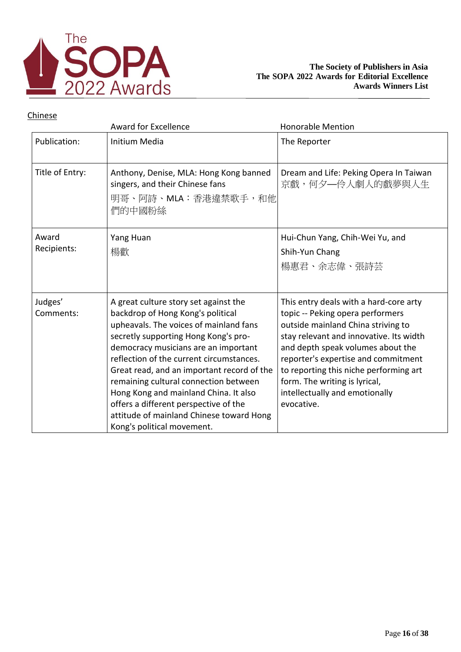

|                      | <b>Award for Excellence</b>                                                                                                                                                                                                                                                                                                                                                                                                                                                                         | <b>Honorable Mention</b>                                                                                                                                                                                                                                                                                                                                           |
|----------------------|-----------------------------------------------------------------------------------------------------------------------------------------------------------------------------------------------------------------------------------------------------------------------------------------------------------------------------------------------------------------------------------------------------------------------------------------------------------------------------------------------------|--------------------------------------------------------------------------------------------------------------------------------------------------------------------------------------------------------------------------------------------------------------------------------------------------------------------------------------------------------------------|
| Publication:         | Initium Media                                                                                                                                                                                                                                                                                                                                                                                                                                                                                       | The Reporter                                                                                                                                                                                                                                                                                                                                                       |
| Title of Entry:      | Anthony, Denise, MLA: Hong Kong banned<br>singers, and their Chinese fans<br>明哥、阿詩、MLA:香港違禁歌手,和他<br>們的中國粉絲                                                                                                                                                                                                                                                                                                                                                                                          | Dream and Life: Peking Opera In Taiwan<br>京戲,何夕—伶人劇人的戲夢與人生                                                                                                                                                                                                                                                                                                         |
| Award<br>Recipients: | Yang Huan<br>楊歡                                                                                                                                                                                                                                                                                                                                                                                                                                                                                     | Hui-Chun Yang, Chih-Wei Yu, and<br>Shih-Yun Chang<br>楊惠君、余志偉、張詩芸                                                                                                                                                                                                                                                                                                   |
| Judges'<br>Comments: | A great culture story set against the<br>backdrop of Hong Kong's political<br>upheavals. The voices of mainland fans<br>secretly supporting Hong Kong's pro-<br>democracy musicians are an important<br>reflection of the current circumstances.<br>Great read, and an important record of the<br>remaining cultural connection between<br>Hong Kong and mainland China. It also<br>offers a different perspective of the<br>attitude of mainland Chinese toward Hong<br>Kong's political movement. | This entry deals with a hard-core arty<br>topic -- Peking opera performers<br>outside mainland China striving to<br>stay relevant and innovative. Its width<br>and depth speak volumes about the<br>reporter's expertise and commitment<br>to reporting this niche performing art<br>form. The writing is lyrical,<br>intellectually and emotionally<br>evocative. |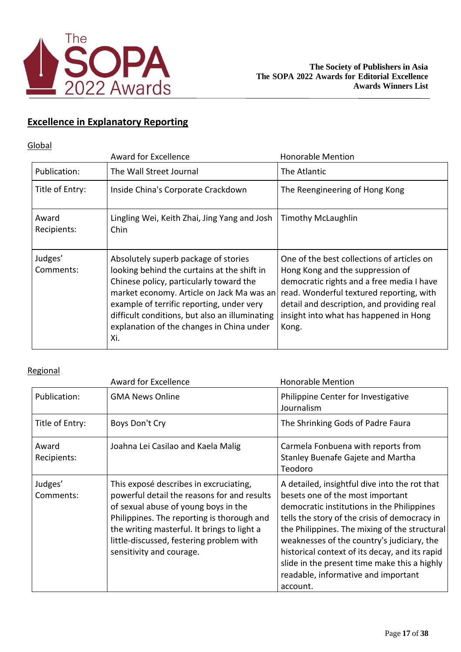

## **Excellence in Explanatory Reporting**

## **Global**

|                      | <b>Award for Excellence</b>                                                                                                                                                                                                                                                                                                    | <b>Honorable Mention</b>                                                                                                                                                                                                                                                 |
|----------------------|--------------------------------------------------------------------------------------------------------------------------------------------------------------------------------------------------------------------------------------------------------------------------------------------------------------------------------|--------------------------------------------------------------------------------------------------------------------------------------------------------------------------------------------------------------------------------------------------------------------------|
| Publication:         | The Wall Street Journal                                                                                                                                                                                                                                                                                                        | The Atlantic                                                                                                                                                                                                                                                             |
| Title of Entry:      | Inside China's Corporate Crackdown                                                                                                                                                                                                                                                                                             | The Reengineering of Hong Kong                                                                                                                                                                                                                                           |
| Award<br>Recipients: | Lingling Wei, Keith Zhai, Jing Yang and Josh<br>Chin                                                                                                                                                                                                                                                                           | <b>Timothy McLaughlin</b>                                                                                                                                                                                                                                                |
| Judges'<br>Comments: | Absolutely superb package of stories<br>looking behind the curtains at the shift in<br>Chinese policy, particularly toward the<br>market economy. Article on Jack Ma was an<br>example of terrific reporting, under very<br>difficult conditions, but also an illuminating<br>explanation of the changes in China under<br>Xi. | One of the best collections of articles on<br>Hong Kong and the suppression of<br>democratic rights and a free media I have<br>read. Wonderful textured reporting, with<br>detail and description, and providing real<br>insight into what has happened in Hong<br>Kong. |

|                      | <b>Award for Excellence</b>                                                                                                                                                                                                                                                                        | <b>Honorable Mention</b>                                                                                                                                                                                                                                                                                                                                                                                                             |
|----------------------|----------------------------------------------------------------------------------------------------------------------------------------------------------------------------------------------------------------------------------------------------------------------------------------------------|--------------------------------------------------------------------------------------------------------------------------------------------------------------------------------------------------------------------------------------------------------------------------------------------------------------------------------------------------------------------------------------------------------------------------------------|
| Publication:         | <b>GMA News Online</b>                                                                                                                                                                                                                                                                             | Philippine Center for Investigative<br>Journalism                                                                                                                                                                                                                                                                                                                                                                                    |
| Title of Entry:      | Boys Don't Cry                                                                                                                                                                                                                                                                                     | The Shrinking Gods of Padre Faura                                                                                                                                                                                                                                                                                                                                                                                                    |
| Award<br>Recipients: | Joahna Lei Casilao and Kaela Malig                                                                                                                                                                                                                                                                 | Carmela Fonbuena with reports from<br>Stanley Buenafe Gajete and Martha<br>Teodoro                                                                                                                                                                                                                                                                                                                                                   |
| Judges'<br>Comments: | This exposé describes in excruciating,<br>powerful detail the reasons for and results<br>of sexual abuse of young boys in the<br>Philippines. The reporting is thorough and<br>the writing masterful. It brings to light a<br>little-discussed, festering problem with<br>sensitivity and courage. | A detailed, insightful dive into the rot that<br>besets one of the most important<br>democratic institutions in the Philippines<br>tells the story of the crisis of democracy in<br>the Philippines. The mixing of the structural<br>weaknesses of the country's judiciary, the<br>historical context of its decay, and its rapid<br>slide in the present time make this a highly<br>readable, informative and important<br>account. |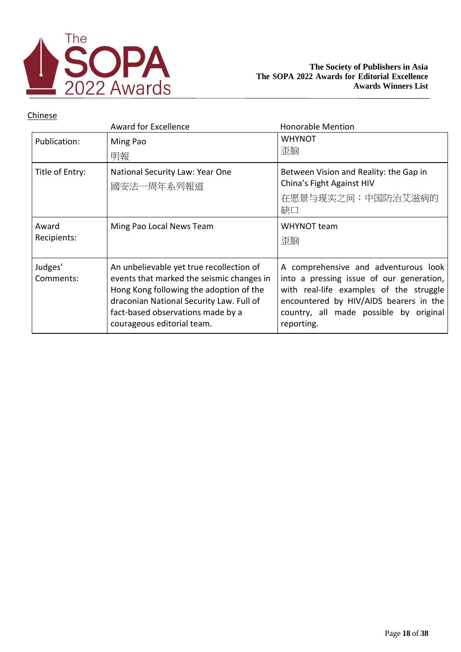

|                      | Award for Excellence                                                                                                                                                                                                                            | <b>Honorable Mention</b>                                                                                                                                                                                                      |
|----------------------|-------------------------------------------------------------------------------------------------------------------------------------------------------------------------------------------------------------------------------------------------|-------------------------------------------------------------------------------------------------------------------------------------------------------------------------------------------------------------------------------|
| Publication:         | Ming Pao<br>明報                                                                                                                                                                                                                                  | <b>WHYNOT</b><br>歪脑                                                                                                                                                                                                           |
| Title of Entry:      | National Security Law: Year One<br>國安法一周年系列報道                                                                                                                                                                                                   | Between Vision and Reality: the Gap in<br>China's Fight Against HIV<br>在愿景与现实之间:中国防治艾滋病的<br>缺口                                                                                                                                |
| Award<br>Recipients: | Ming Pao Local News Team                                                                                                                                                                                                                        | WHYNOT team<br>歪脑                                                                                                                                                                                                             |
| Judges'<br>Comments: | An unbelievable yet true recollection of<br>events that marked the seismic changes in<br>Hong Kong following the adoption of the<br>draconian National Security Law. Full of<br>fact-based observations made by a<br>courageous editorial team. | A comprehensive and adventurous look<br>into a pressing issue of our generation,<br>with real-life examples of the struggle<br>encountered by HIV/AIDS bearers in the<br>country, all made possible by original<br>reporting. |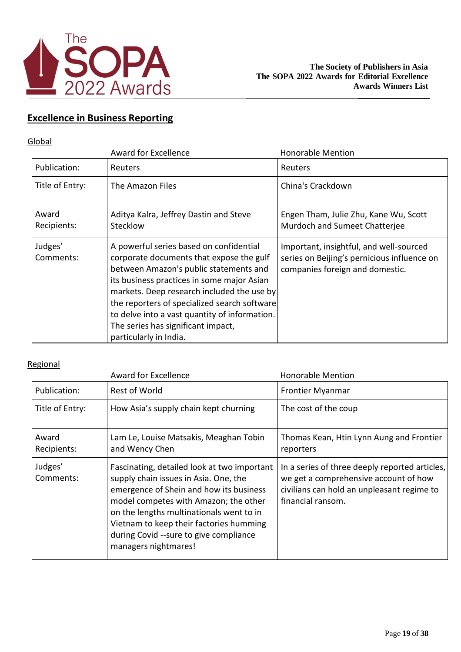

## **Excellence in Business Reporting**

#### **Global**

|                      | <b>Award for Excellence</b>                                                                                                                                                                                                                                                                                                                                                                | <b>Honorable Mention</b>                                                                                                  |
|----------------------|--------------------------------------------------------------------------------------------------------------------------------------------------------------------------------------------------------------------------------------------------------------------------------------------------------------------------------------------------------------------------------------------|---------------------------------------------------------------------------------------------------------------------------|
| Publication:         | <b>Reuters</b>                                                                                                                                                                                                                                                                                                                                                                             | Reuters                                                                                                                   |
| Title of Entry:      | The Amazon Files                                                                                                                                                                                                                                                                                                                                                                           | China's Crackdown                                                                                                         |
| Award<br>Recipients: | Aditya Kalra, Jeffrey Dastin and Steve<br><b>Stecklow</b>                                                                                                                                                                                                                                                                                                                                  | Engen Tham, Julie Zhu, Kane Wu, Scott<br>Murdoch and Sumeet Chatterjee                                                    |
| Judges'<br>Comments: | A powerful series based on confidential<br>corporate documents that expose the gulf<br>between Amazon's public statements and<br>its business practices in some major Asian<br>markets. Deep research included the use by<br>the reporters of specialized search software<br>to delve into a vast quantity of information.<br>The series has significant impact,<br>particularly in India. | Important, insightful, and well-sourced<br>series on Beijing's pernicious influence on<br>companies foreign and domestic. |

|                      | <b>Award for Excellence</b>                                                                                                                                                                                                                                                                                                       | <b>Honorable Mention</b>                                                                                                                                   |
|----------------------|-----------------------------------------------------------------------------------------------------------------------------------------------------------------------------------------------------------------------------------------------------------------------------------------------------------------------------------|------------------------------------------------------------------------------------------------------------------------------------------------------------|
| Publication:         | <b>Rest of World</b>                                                                                                                                                                                                                                                                                                              | <b>Frontier Myanmar</b>                                                                                                                                    |
| Title of Entry:      | How Asia's supply chain kept churning                                                                                                                                                                                                                                                                                             | The cost of the coup                                                                                                                                       |
| Award<br>Recipients: | Lam Le, Louise Matsakis, Meaghan Tobin<br>and Wency Chen                                                                                                                                                                                                                                                                          | Thomas Kean, Htin Lynn Aung and Frontier<br>reporters                                                                                                      |
| Judges'<br>Comments: | Fascinating, detailed look at two important<br>supply chain issues in Asia. One, the<br>emergence of Shein and how its business<br>model competes with Amazon; the other<br>on the lengths multinationals went to in<br>Vietnam to keep their factories humming<br>during Covid --sure to give compliance<br>managers nightmares! | In a series of three deeply reported articles,<br>we get a comprehensive account of how<br>civilians can hold an unpleasant regime to<br>financial ransom. |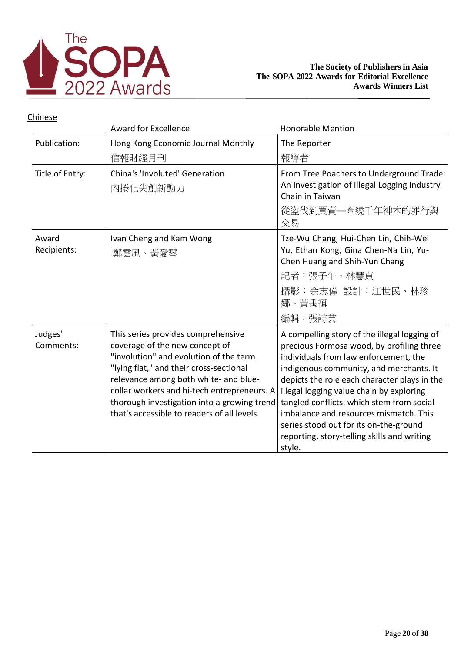

|                      | <b>Award for Excellence</b>                                                                                                                                                                                                                                                                                                                     | <b>Honorable Mention</b>                                                                                                                                                                                                                                                                                                                                                                                                                                            |
|----------------------|-------------------------------------------------------------------------------------------------------------------------------------------------------------------------------------------------------------------------------------------------------------------------------------------------------------------------------------------------|---------------------------------------------------------------------------------------------------------------------------------------------------------------------------------------------------------------------------------------------------------------------------------------------------------------------------------------------------------------------------------------------------------------------------------------------------------------------|
| Publication:         | Hong Kong Economic Journal Monthly<br>信報財經月刊                                                                                                                                                                                                                                                                                                    | The Reporter<br>報導者                                                                                                                                                                                                                                                                                                                                                                                                                                                 |
| Title of Entry:      | China's 'Involuted' Generation<br>内捲化失創新動力                                                                                                                                                                                                                                                                                                      | From Tree Poachers to Underground Trade:<br>An Investigation of Illegal Logging Industry<br>Chain in Taiwan<br>從盜伐到買賣—圍繞千年神木的罪行與<br>交易                                                                                                                                                                                                                                                                                                                              |
| Award<br>Recipients: | Ivan Cheng and Kam Wong<br>鄭雲風、黃愛琴                                                                                                                                                                                                                                                                                                              | Tze-Wu Chang, Hui-Chen Lin, Chih-Wei<br>Yu, Ethan Kong, Gina Chen-Na Lin, Yu-<br>Chen Huang and Shih-Yun Chang<br>記者:張子午、林慧貞<br>攝影:余志偉 設計:江世民、林珍<br>娜、黃禹禛<br>編輯:張詩芸                                                                                                                                                                                                                                                                                                 |
| Judges'<br>Comments: | This series provides comprehensive<br>coverage of the new concept of<br>"involution" and evolution of the term<br>"lying flat," and their cross-sectional<br>relevance among both white- and blue-<br>collar workers and hi-tech entrepreneurs. A<br>thorough investigation into a growing trend<br>that's accessible to readers of all levels. | A compelling story of the illegal logging of<br>precious Formosa wood, by profiling three<br>individuals from law enforcement, the<br>indigenous community, and merchants. It<br>depicts the role each character plays in the<br>illegal logging value chain by exploring<br>tangled conflicts, which stem from social<br>imbalance and resources mismatch. This<br>series stood out for its on-the-ground<br>reporting, story-telling skills and writing<br>style. |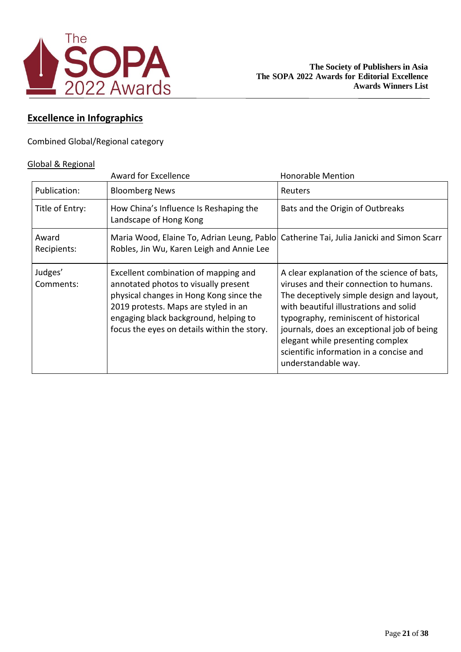

## **Excellence in Infographics**

Combined Global/Regional category

#### Global & Regional

|                      | <b>Award for Excellence</b>                                                                                                                                                                                                                             | <b>Honorable Mention</b>                                                                                                                                                                                                                                                                                                                                                   |
|----------------------|---------------------------------------------------------------------------------------------------------------------------------------------------------------------------------------------------------------------------------------------------------|----------------------------------------------------------------------------------------------------------------------------------------------------------------------------------------------------------------------------------------------------------------------------------------------------------------------------------------------------------------------------|
| Publication:         | <b>Bloomberg News</b>                                                                                                                                                                                                                                   | Reuters                                                                                                                                                                                                                                                                                                                                                                    |
| Title of Entry:      | How China's Influence Is Reshaping the<br>Landscape of Hong Kong                                                                                                                                                                                        | Bats and the Origin of Outbreaks                                                                                                                                                                                                                                                                                                                                           |
| Award<br>Recipients: | Maria Wood, Elaine To, Adrian Leung, Pablo Catherine Tai, Julia Janicki and Simon Scarr<br>Robles, Jin Wu, Karen Leigh and Annie Lee                                                                                                                    |                                                                                                                                                                                                                                                                                                                                                                            |
| Judges'<br>Comments: | Excellent combination of mapping and<br>annotated photos to visually present<br>physical changes in Hong Kong since the<br>2019 protests. Maps are styled in an<br>engaging black background, helping to<br>focus the eyes on details within the story. | A clear explanation of the science of bats,<br>viruses and their connection to humans.<br>The deceptively simple design and layout,<br>with beautiful illustrations and solid<br>typography, reminiscent of historical<br>journals, does an exceptional job of being<br>elegant while presenting complex<br>scientific information in a concise and<br>understandable way. |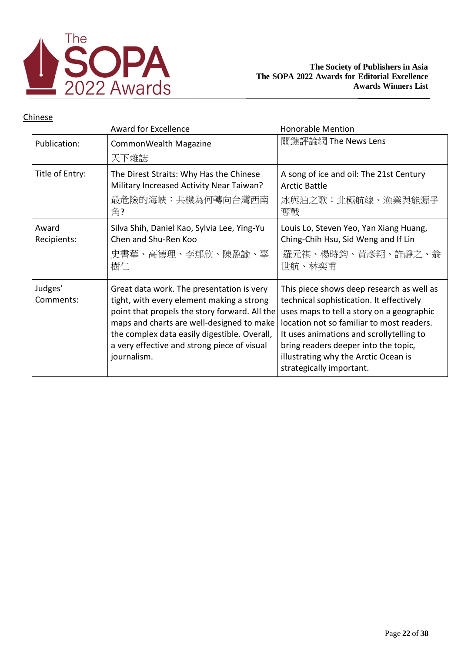

|                      | <b>Award for Excellence</b>                                                                                                                                                                                                                                                                        | <b>Honorable Mention</b>                                                                                                                                                                                                                                                                                                                |
|----------------------|----------------------------------------------------------------------------------------------------------------------------------------------------------------------------------------------------------------------------------------------------------------------------------------------------|-----------------------------------------------------------------------------------------------------------------------------------------------------------------------------------------------------------------------------------------------------------------------------------------------------------------------------------------|
| Publication:         | CommonWealth Magazine<br>天下雜誌                                                                                                                                                                                                                                                                      | 關鍵評論網 The News Lens                                                                                                                                                                                                                                                                                                                     |
|                      |                                                                                                                                                                                                                                                                                                    |                                                                                                                                                                                                                                                                                                                                         |
| Title of Entry:      | The Direst Straits: Why Has the Chinese<br>Military Increased Activity Near Taiwan?                                                                                                                                                                                                                | A song of ice and oil: The 21st Century<br><b>Arctic Battle</b>                                                                                                                                                                                                                                                                         |
|                      | 最危險的海峽:共機為何轉向台灣西南<br>角?                                                                                                                                                                                                                                                                            | 冰與油之歌:北極航線、漁業與能源爭<br>奪戰                                                                                                                                                                                                                                                                                                                 |
| Award<br>Recipients: | Silva Shih, Daniel Kao, Sylvia Lee, Ying-Yu<br>Chen and Shu-Ren Koo<br>史書華、高德理、李郁欣、陳盈諭、辜<br>樹仁                                                                                                                                                                                                     | Louis Lo, Steven Yeo, Yan Xiang Huang,<br>Ching-Chih Hsu, Sid Weng and If Lin<br>羅元祺、楊時鈞、黃彥翔、許靜之、翁<br>世航、林奕甫                                                                                                                                                                                                                            |
| Judges'<br>Comments: | Great data work. The presentation is very<br>tight, with every element making a strong<br>point that propels the story forward. All the<br>maps and charts are well-designed to make<br>the complex data easily digestible. Overall,<br>a very effective and strong piece of visual<br>journalism. | This piece shows deep research as well as<br>technical sophistication. It effectively<br>uses maps to tell a story on a geographic<br>location not so familiar to most readers.<br>It uses animations and scrollytelling to<br>bring readers deeper into the topic,<br>illustrating why the Arctic Ocean is<br>strategically important. |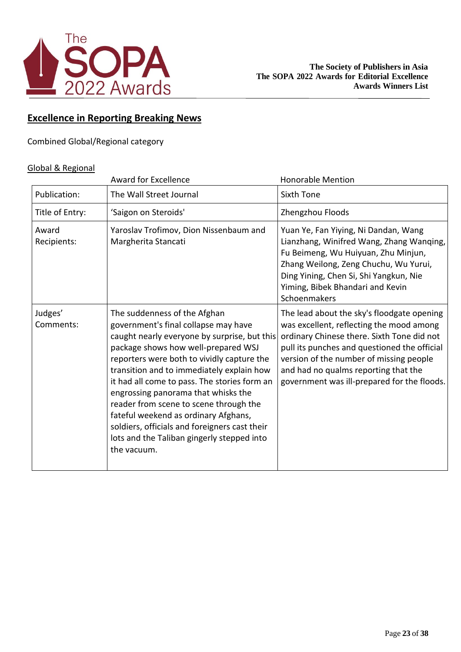

## **Excellence in Reporting Breaking News**

Combined Global/Regional category

### Global & Regional

|                      | <b>Award for Excellence</b>                                                                                                                                                                                                                                                                                                                                                                                                                                                                                                                   | <b>Honorable Mention</b>                                                                                                                                                                                                                                                                                               |
|----------------------|-----------------------------------------------------------------------------------------------------------------------------------------------------------------------------------------------------------------------------------------------------------------------------------------------------------------------------------------------------------------------------------------------------------------------------------------------------------------------------------------------------------------------------------------------|------------------------------------------------------------------------------------------------------------------------------------------------------------------------------------------------------------------------------------------------------------------------------------------------------------------------|
| Publication:         | The Wall Street Journal                                                                                                                                                                                                                                                                                                                                                                                                                                                                                                                       | <b>Sixth Tone</b>                                                                                                                                                                                                                                                                                                      |
| Title of Entry:      | 'Saigon on Steroids'                                                                                                                                                                                                                                                                                                                                                                                                                                                                                                                          | Zhengzhou Floods                                                                                                                                                                                                                                                                                                       |
| Award<br>Recipients: | Yaroslav Trofimov, Dion Nissenbaum and<br>Margherita Stancati                                                                                                                                                                                                                                                                                                                                                                                                                                                                                 | Yuan Ye, Fan Yiying, Ni Dandan, Wang<br>Lianzhang, Winifred Wang, Zhang Wanqing,<br>Fu Beimeng, Wu Huiyuan, Zhu Minjun,<br>Zhang Weilong, Zeng Chuchu, Wu Yurui,<br>Ding Yining, Chen Si, Shi Yangkun, Nie<br>Yiming, Bibek Bhandari and Kevin<br>Schoenmakers                                                         |
| Judges'<br>Comments: | The suddenness of the Afghan<br>government's final collapse may have<br>caught nearly everyone by surprise, but this<br>package shows how well-prepared WSJ<br>reporters were both to vividly capture the<br>transition and to immediately explain how<br>it had all come to pass. The stories form an<br>engrossing panorama that whisks the<br>reader from scene to scene through the<br>fateful weekend as ordinary Afghans,<br>soldiers, officials and foreigners cast their<br>lots and the Taliban gingerly stepped into<br>the vacuum. | The lead about the sky's floodgate opening<br>was excellent, reflecting the mood among<br>ordinary Chinese there. Sixth Tone did not<br>pull its punches and questioned the official<br>version of the number of missing people<br>and had no qualms reporting that the<br>government was ill-prepared for the floods. |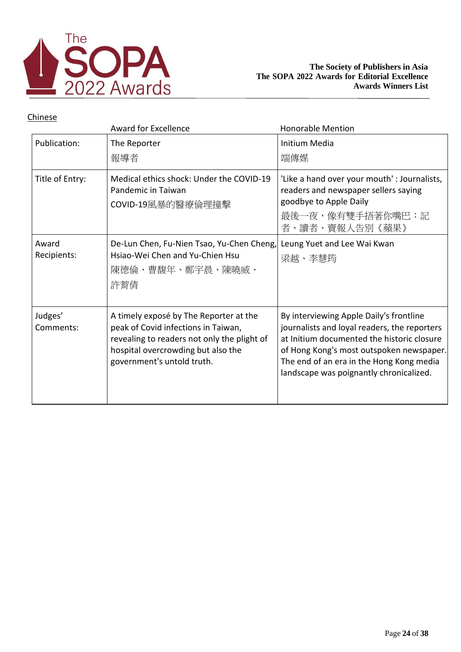

|                      | <b>Award for Excellence</b>                                                                                                                                                                      | <b>Honorable Mention</b>                                                                                                                                                                                                                                                 |
|----------------------|--------------------------------------------------------------------------------------------------------------------------------------------------------------------------------------------------|--------------------------------------------------------------------------------------------------------------------------------------------------------------------------------------------------------------------------------------------------------------------------|
| Publication:         | The Reporter<br>報導者                                                                                                                                                                              | <b>Initium Media</b><br>端傳媒                                                                                                                                                                                                                                              |
| Title of Entry:      | Medical ethics shock: Under the COVID-19<br>Pandemic in Taiwan<br>COVID-19風暴的醫療倫理撞擊                                                                                                              | 'Like a hand over your mouth' : Journalists,<br>readers and newspaper sellers saying<br>goodbye to Apple Daily<br>最後一夜,像有雙手捂著你嘴巴:記<br>者、讀者、賣報人告別《蘋果》                                                                                                                     |
| Award<br>Recipients: | De-Lun Chen, Fu-Nien Tsao, Yu-Chen Cheng,<br>Hsiao-Wei Chen and Yu-Chien Hsu<br>陳德倫、曹馥年、鄭宇晨、陳曉威、<br>許菁倩                                                                                          | Leung Yuet and Lee Wai Kwan<br>梁越、李慧筠                                                                                                                                                                                                                                    |
| Judges'<br>Comments: | A timely exposé by The Reporter at the<br>peak of Covid infections in Taiwan,<br>revealing to readers not only the plight of<br>hospital overcrowding but also the<br>government's untold truth. | By interviewing Apple Daily's frontline<br>journalists and loyal readers, the reporters<br>at Initium documented the historic closure<br>of Hong Kong's most outspoken newspaper.<br>The end of an era in the Hong Kong media<br>landscape was poignantly chronicalized. |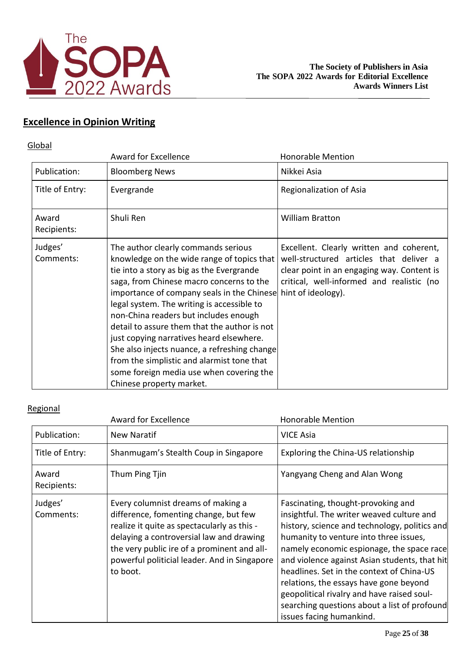

# **Excellence in Opinion Writing**

## **Global**

|                      | <b>Award for Excellence</b>                                                                                                                                                                                                                                                                                                                                                                                                                                                                                                                                                                          | <b>Honorable Mention</b>                                                                                                                                                       |
|----------------------|------------------------------------------------------------------------------------------------------------------------------------------------------------------------------------------------------------------------------------------------------------------------------------------------------------------------------------------------------------------------------------------------------------------------------------------------------------------------------------------------------------------------------------------------------------------------------------------------------|--------------------------------------------------------------------------------------------------------------------------------------------------------------------------------|
| Publication:         | <b>Bloomberg News</b>                                                                                                                                                                                                                                                                                                                                                                                                                                                                                                                                                                                | Nikkei Asia                                                                                                                                                                    |
| Title of Entry:      | Evergrande                                                                                                                                                                                                                                                                                                                                                                                                                                                                                                                                                                                           | Regionalization of Asia                                                                                                                                                        |
| Award<br>Recipients: | Shuli Ren                                                                                                                                                                                                                                                                                                                                                                                                                                                                                                                                                                                            | <b>William Bratton</b>                                                                                                                                                         |
| Judges'<br>Comments: | The author clearly commands serious<br>knowledge on the wide range of topics that<br>tie into a story as big as the Evergrande<br>saga, from Chinese macro concerns to the<br>importance of company seals in the Chinese hint of ideology).<br>legal system. The writing is accessible to<br>non-China readers but includes enough<br>detail to assure them that the author is not<br>just copying narratives heard elsewhere.<br>She also injects nuance, a refreshing change<br>from the simplistic and alarmist tone that<br>some foreign media use when covering the<br>Chinese property market. | Excellent. Clearly written and coherent,<br>well-structured articles that deliver a<br>clear point in an engaging way. Content is<br>critical, well-informed and realistic (no |

|                      | <b>Award for Excellence</b>                                                                                                                                                                                                                                                       | <b>Honorable Mention</b>                                                                                                                                                                                                                                                                                                                                                                                                                                                                  |
|----------------------|-----------------------------------------------------------------------------------------------------------------------------------------------------------------------------------------------------------------------------------------------------------------------------------|-------------------------------------------------------------------------------------------------------------------------------------------------------------------------------------------------------------------------------------------------------------------------------------------------------------------------------------------------------------------------------------------------------------------------------------------------------------------------------------------|
| Publication:         | New Naratif                                                                                                                                                                                                                                                                       | <b>VICE Asia</b>                                                                                                                                                                                                                                                                                                                                                                                                                                                                          |
| Title of Entry:      | Shanmugam's Stealth Coup in Singapore                                                                                                                                                                                                                                             | Exploring the China-US relationship                                                                                                                                                                                                                                                                                                                                                                                                                                                       |
| Award<br>Recipients: | Thum Ping Tjin                                                                                                                                                                                                                                                                    | Yangyang Cheng and Alan Wong                                                                                                                                                                                                                                                                                                                                                                                                                                                              |
| Judges'<br>Comments: | Every columnist dreams of making a<br>difference, fomenting change, but few<br>realize it quite as spectacularly as this -<br>delaying a controversial law and drawing<br>the very public ire of a prominent and all-<br>powerful politicial leader. And in Singapore<br>to boot. | Fascinating, thought-provoking and<br>insightful. The writer weaved culture and<br>history, science and technology, politics and<br>humanity to venture into three issues,<br>namely economic espionage, the space race<br>and violence against Asian students, that hit<br>headlines. Set in the context of China-US<br>relations, the essays have gone beyond<br>geopolitical rivalry and have raised soul-<br>searching questions about a list of profound<br>issues facing humankind. |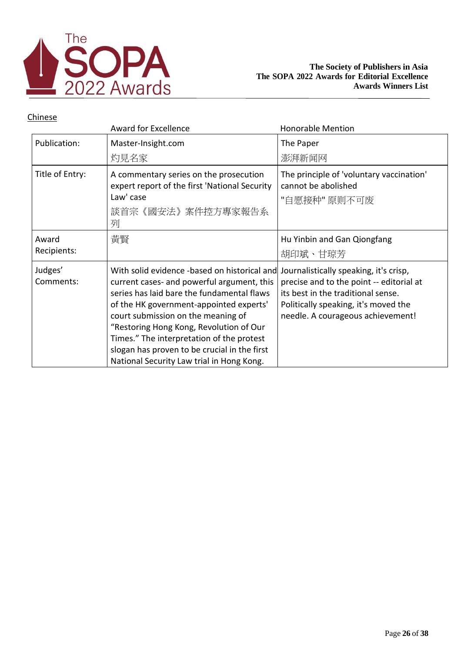

|                      | <b>Award for Excellence</b>                                                                                                                                                                                                                                                                                                                                                                                    | <b>Honorable Mention</b>                                                                                                                                                                              |
|----------------------|----------------------------------------------------------------------------------------------------------------------------------------------------------------------------------------------------------------------------------------------------------------------------------------------------------------------------------------------------------------------------------------------------------------|-------------------------------------------------------------------------------------------------------------------------------------------------------------------------------------------------------|
| Publication:         | Master-Insight.com<br>灼見名家                                                                                                                                                                                                                                                                                                                                                                                     | The Paper<br>澎湃新闻网                                                                                                                                                                                    |
| Title of Entry:      | A commentary series on the prosecution<br>expert report of the first 'National Security<br>Law' case<br>談首宗《國安法》案件控方專家報告系<br>列                                                                                                                                                                                                                                                                                 | The principle of 'voluntary vaccination'<br>cannot be abolished<br>"自愿接种"原则不可废                                                                                                                        |
| Award<br>Recipients: | 黃賢                                                                                                                                                                                                                                                                                                                                                                                                             | Hu Yinbin and Gan Qiongfang<br>胡印斌、甘琼芳                                                                                                                                                                |
| Judges'<br>Comments: | With solid evidence -based on historical and<br>current cases- and powerful argument, this<br>series has laid bare the fundamental flaws<br>of the HK government-appointed experts'<br>court submission on the meaning of<br>"Restoring Hong Kong, Revolution of Our<br>Times." The interpretation of the protest<br>slogan has proven to be crucial in the first<br>National Security Law trial in Hong Kong. | Journalistically speaking, it's crisp,<br>precise and to the point -- editorial at<br>its best in the traditional sense.<br>Politically speaking, it's moved the<br>needle. A courageous achievement! |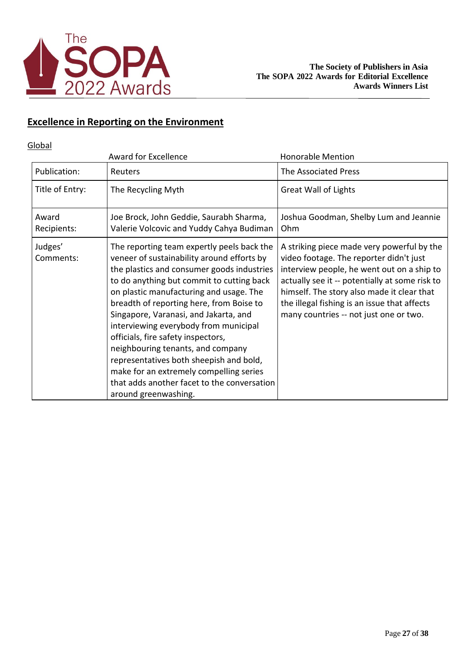

## **Excellence in Reporting on the Environment**

## Global

|                      | <b>Award for Excellence</b>                                                                                                                                                                                                                                                                                                                                                                                                                                                                                                                                                                          | <b>Honorable Mention</b>                                                                                                                                                                                                                                                                                                      |
|----------------------|------------------------------------------------------------------------------------------------------------------------------------------------------------------------------------------------------------------------------------------------------------------------------------------------------------------------------------------------------------------------------------------------------------------------------------------------------------------------------------------------------------------------------------------------------------------------------------------------------|-------------------------------------------------------------------------------------------------------------------------------------------------------------------------------------------------------------------------------------------------------------------------------------------------------------------------------|
| Publication:         | Reuters                                                                                                                                                                                                                                                                                                                                                                                                                                                                                                                                                                                              | The Associated Press                                                                                                                                                                                                                                                                                                          |
| Title of Entry:      | The Recycling Myth                                                                                                                                                                                                                                                                                                                                                                                                                                                                                                                                                                                   | <b>Great Wall of Lights</b>                                                                                                                                                                                                                                                                                                   |
| Award<br>Recipients: | Joe Brock, John Geddie, Saurabh Sharma,<br>Valerie Volcovic and Yuddy Cahya Budiman                                                                                                                                                                                                                                                                                                                                                                                                                                                                                                                  | Joshua Goodman, Shelby Lum and Jeannie<br>Ohm                                                                                                                                                                                                                                                                                 |
| Judges'<br>Comments: | The reporting team expertly peels back the<br>veneer of sustainability around efforts by<br>the plastics and consumer goods industries<br>to do anything but commit to cutting back<br>on plastic manufacturing and usage. The<br>breadth of reporting here, from Boise to<br>Singapore, Varanasi, and Jakarta, and<br>interviewing everybody from municipal<br>officials, fire safety inspectors,<br>neighbouring tenants, and company<br>representatives both sheepish and bold,<br>make for an extremely compelling series<br>that adds another facet to the conversation<br>around greenwashing. | A striking piece made very powerful by the<br>video footage. The reporter didn't just<br>interview people, he went out on a ship to<br>actually see it -- potentially at some risk to<br>himself. The story also made it clear that<br>the illegal fishing is an issue that affects<br>many countries -- not just one or two. |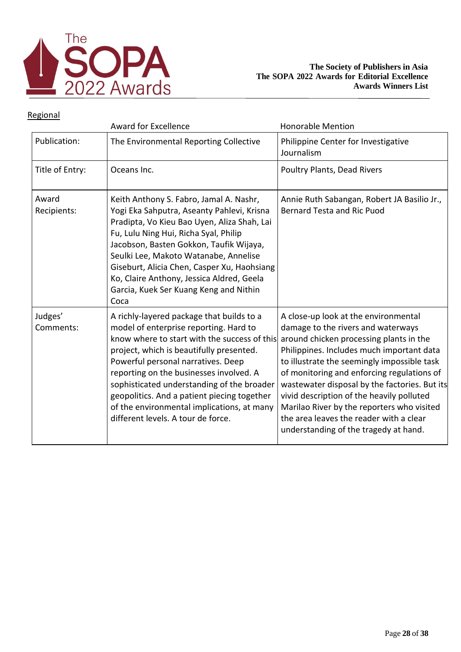

|                      | <b>Award for Excellence</b>                                                                                                                                                                                                                                                                                                                                                                                                                       | <b>Honorable Mention</b>                                                                                                                                                                                                                                                                                                                                                                                                                                                                        |
|----------------------|---------------------------------------------------------------------------------------------------------------------------------------------------------------------------------------------------------------------------------------------------------------------------------------------------------------------------------------------------------------------------------------------------------------------------------------------------|-------------------------------------------------------------------------------------------------------------------------------------------------------------------------------------------------------------------------------------------------------------------------------------------------------------------------------------------------------------------------------------------------------------------------------------------------------------------------------------------------|
| Publication:         | The Environmental Reporting Collective                                                                                                                                                                                                                                                                                                                                                                                                            | Philippine Center for Investigative<br>Journalism                                                                                                                                                                                                                                                                                                                                                                                                                                               |
| Title of Entry:      | Oceans Inc.                                                                                                                                                                                                                                                                                                                                                                                                                                       | <b>Poultry Plants, Dead Rivers</b>                                                                                                                                                                                                                                                                                                                                                                                                                                                              |
| Award<br>Recipients: | Keith Anthony S. Fabro, Jamal A. Nashr,<br>Yogi Eka Sahputra, Aseanty Pahlevi, Krisna<br>Pradipta, Vo Kieu Bao Uyen, Aliza Shah, Lai<br>Fu, Lulu Ning Hui, Richa Syal, Philip<br>Jacobson, Basten Gokkon, Taufik Wijaya,<br>Seulki Lee, Makoto Watanabe, Annelise<br>Giseburt, Alicia Chen, Casper Xu, Haohsiang<br>Ko, Claire Anthony, Jessica Aldred, Geela<br>Garcia, Kuek Ser Kuang Keng and Nithin<br>Coca                                   | Annie Ruth Sabangan, Robert JA Basilio Jr.,<br><b>Bernard Testa and Ric Puod</b>                                                                                                                                                                                                                                                                                                                                                                                                                |
| Judges'<br>Comments: | A richly-layered package that builds to a<br>model of enterprise reporting. Hard to<br>know where to start with the success of this<br>project, which is beautifully presented.<br>Powerful personal narratives. Deep<br>reporting on the businesses involved. A<br>sophisticated understanding of the broader<br>geopolitics. And a patient piecing together<br>of the environmental implications, at many<br>different levels. A tour de force. | A close-up look at the environmental<br>damage to the rivers and waterways<br>around chicken processing plants in the<br>Philippines. Includes much important data<br>to illustrate the seemingly impossible task<br>of monitoring and enforcing regulations of<br>wastewater disposal by the factories. But its<br>vivid description of the heavily polluted<br>Marilao River by the reporters who visited<br>the area leaves the reader with a clear<br>understanding of the tragedy at hand. |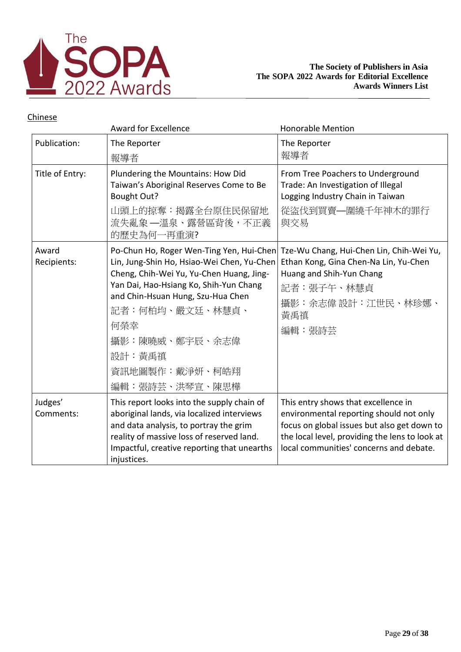

|                      | <b>Award for Excellence</b>                                                                                                                                                                                                                                                                                 | <b>Honorable Mention</b>                                                                                                                                                                                                   |
|----------------------|-------------------------------------------------------------------------------------------------------------------------------------------------------------------------------------------------------------------------------------------------------------------------------------------------------------|----------------------------------------------------------------------------------------------------------------------------------------------------------------------------------------------------------------------------|
| Publication:         | The Reporter<br>報導者                                                                                                                                                                                                                                                                                         | The Reporter<br>報導者                                                                                                                                                                                                        |
| Title of Entry:      | Plundering the Mountains: How Did<br>Taiwan's Aboriginal Reserves Come to Be<br><b>Bought Out?</b><br>山頭上的掠奪:揭露全台原住民保留地<br>流失亂象 —溫泉、露營區背後,不正義<br>的歷史為何一再重演?                                                                                                                                                 | From Tree Poachers to Underground<br>Trade: An Investigation of Illegal<br>Logging Industry Chain in Taiwan<br>從盜伐到買賣––圍繞千年神木的罪行<br>與交易                                                                                    |
| Award<br>Recipients: | Po-Chun Ho, Roger Wen-Ting Yen, Hui-Chen<br>Lin, Jung-Shin Ho, Hsiao-Wei Chen, Yu-Chen<br>Cheng, Chih-Wei Yu, Yu-Chen Huang, Jing-<br>Yan Dai, Hao-Hsiang Ko, Shih-Yun Chang<br>and Chin-Hsuan Hung, Szu-Hua Chen<br>記者:何柏均、嚴文廷、林慧貞、<br>何榮幸<br>攝影:陳曉威、鄭宇辰、余志偉<br>設計:黃禹禛<br>資訊地圖製作:戴淨妍、柯皓翔<br>編輯:張詩芸、洪琴宣、陳思樺 | Tze-Wu Chang, Hui-Chen Lin, Chih-Wei Yu,<br>Ethan Kong, Gina Chen-Na Lin, Yu-Chen<br>Huang and Shih-Yun Chang<br>記者:張子午、林慧貞<br>攝影:余志偉 設計:江世民、林珍娜、<br>黃禹禛<br>編輯:張詩芸                                                         |
| Judges'<br>Comments: | This report looks into the supply chain of<br>aboriginal lands, via localized interviews<br>and data analysis, to portray the grim<br>reality of massive loss of reserved land.<br>Impactful, creative reporting that unearths<br>injustices.                                                               | This entry shows that excellence in<br>environmental reporting should not only<br>focus on global issues but also get down to<br>the local level, providing the lens to look at<br>local communities' concerns and debate. |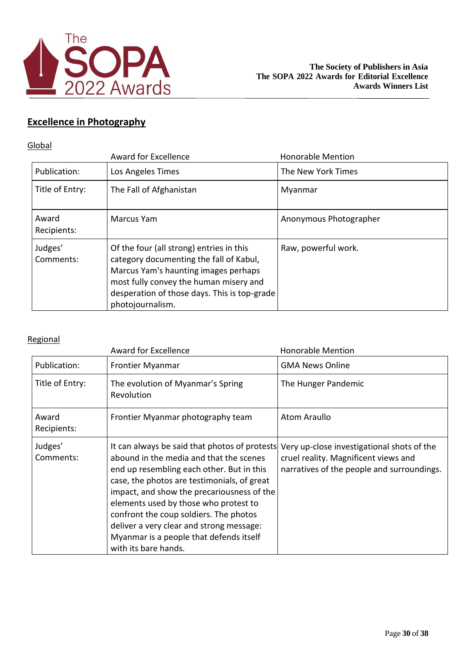

## **Excellence in Photography**

## **Global**

|                      | <b>Award for Excellence</b>                                                                                                                                                                                                               | <b>Honorable Mention</b> |
|----------------------|-------------------------------------------------------------------------------------------------------------------------------------------------------------------------------------------------------------------------------------------|--------------------------|
| Publication:         | Los Angeles Times                                                                                                                                                                                                                         | The New York Times       |
| Title of Entry:      | The Fall of Afghanistan                                                                                                                                                                                                                   | Myanmar                  |
| Award<br>Recipients: | Marcus Yam                                                                                                                                                                                                                                | Anonymous Photographer   |
| Judges'<br>Comments: | Of the four (all strong) entries in this<br>category documenting the fall of Kabul,<br>Marcus Yam's haunting images perhaps<br>most fully convey the human misery and<br>desperation of those days. This is top-grade<br>photojournalism. | Raw, powerful work.      |

|                      | <b>Award for Excellence</b>                                                                                                                                                                                                                                                                                                                                                                                                          | <b>Honorable Mention</b>                                                                                                         |
|----------------------|--------------------------------------------------------------------------------------------------------------------------------------------------------------------------------------------------------------------------------------------------------------------------------------------------------------------------------------------------------------------------------------------------------------------------------------|----------------------------------------------------------------------------------------------------------------------------------|
| Publication:         | Frontier Myanmar                                                                                                                                                                                                                                                                                                                                                                                                                     | <b>GMA News Online</b>                                                                                                           |
| Title of Entry:      | The evolution of Myanmar's Spring<br>Revolution                                                                                                                                                                                                                                                                                                                                                                                      | The Hunger Pandemic                                                                                                              |
| Award<br>Recipients: | Frontier Myanmar photography team                                                                                                                                                                                                                                                                                                                                                                                                    | Atom Araullo                                                                                                                     |
| Judges'<br>Comments: | It can always be said that photos of protests<br>abound in the media and that the scenes<br>end up resembling each other. But in this<br>case, the photos are testimonials, of great<br>impact, and show the precariousness of the<br>elements used by those who protest to<br>confront the coup soldiers. The photos<br>deliver a very clear and strong message:<br>Myanmar is a people that defends itself<br>with its bare hands. | Very up-close investigational shots of the<br>cruel reality. Magnificent views and<br>narratives of the people and surroundings. |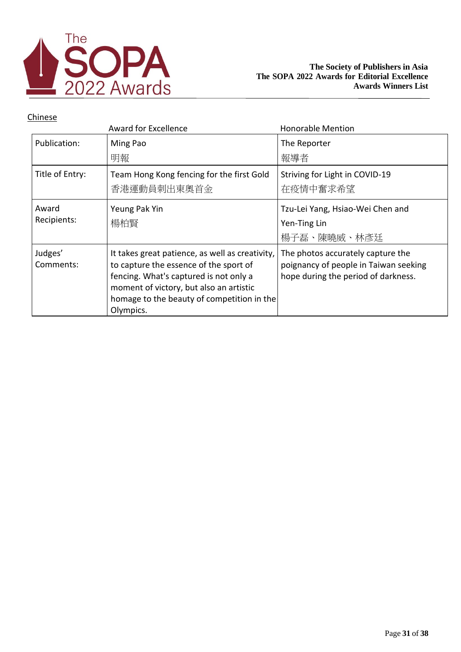

|                      | Award for Excellence                                                                                                                                                                                                                      | <b>Honorable Mention</b>                                                                                          |
|----------------------|-------------------------------------------------------------------------------------------------------------------------------------------------------------------------------------------------------------------------------------------|-------------------------------------------------------------------------------------------------------------------|
| Publication:         | Ming Pao                                                                                                                                                                                                                                  | The Reporter                                                                                                      |
|                      | 明報                                                                                                                                                                                                                                        | 報導者                                                                                                               |
| Title of Entry:      | Team Hong Kong fencing for the first Gold                                                                                                                                                                                                 | Striving for Light in COVID-19                                                                                    |
|                      | 香港運動員刺出東奧首金                                                                                                                                                                                                                               | 在疫情中奮求希望                                                                                                          |
| Award                | Yeung Pak Yin                                                                                                                                                                                                                             | Tzu-Lei Yang, Hsiao-Wei Chen and                                                                                  |
| Recipients:          | 楊柏賢                                                                                                                                                                                                                                       | Yen-Ting Lin                                                                                                      |
|                      |                                                                                                                                                                                                                                           | 楊子磊、陳曉威、林彥廷                                                                                                       |
| Judges'<br>Comments: | It takes great patience, as well as creativity,<br>to capture the essence of the sport of<br>fencing. What's captured is not only a<br>moment of victory, but also an artistic<br>homage to the beauty of competition in the<br>Olympics. | The photos accurately capture the<br>poignancy of people in Taiwan seeking<br>hope during the period of darkness. |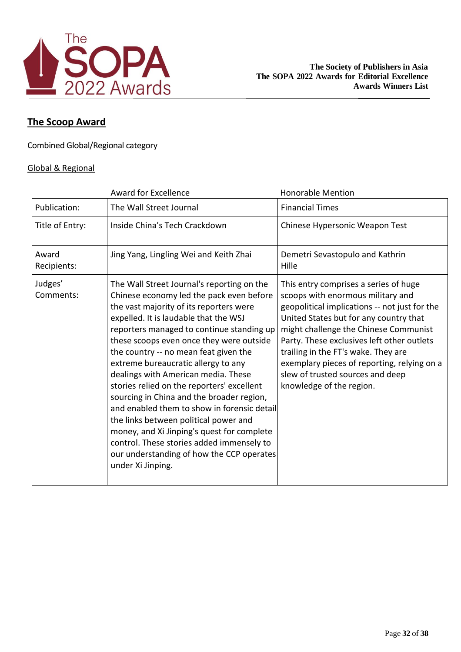

## **The Scoop Award**

Combined Global/Regional category

### Global & Regional

|                      | <b>Award for Excellence</b>                                                                                                                                                                                                                                                                                                                                                                                                                                                                                                                                                                                                                                                                                                                | <b>Honorable Mention</b>                                                                                                                                                                                                                                                                                                                                                                                           |
|----------------------|--------------------------------------------------------------------------------------------------------------------------------------------------------------------------------------------------------------------------------------------------------------------------------------------------------------------------------------------------------------------------------------------------------------------------------------------------------------------------------------------------------------------------------------------------------------------------------------------------------------------------------------------------------------------------------------------------------------------------------------------|--------------------------------------------------------------------------------------------------------------------------------------------------------------------------------------------------------------------------------------------------------------------------------------------------------------------------------------------------------------------------------------------------------------------|
| Publication:         | The Wall Street Journal                                                                                                                                                                                                                                                                                                                                                                                                                                                                                                                                                                                                                                                                                                                    | <b>Financial Times</b>                                                                                                                                                                                                                                                                                                                                                                                             |
| Title of Entry:      | Inside China's Tech Crackdown                                                                                                                                                                                                                                                                                                                                                                                                                                                                                                                                                                                                                                                                                                              | Chinese Hypersonic Weapon Test                                                                                                                                                                                                                                                                                                                                                                                     |
| Award<br>Recipients: | Jing Yang, Lingling Wei and Keith Zhai                                                                                                                                                                                                                                                                                                                                                                                                                                                                                                                                                                                                                                                                                                     | Demetri Sevastopulo and Kathrin<br>Hille                                                                                                                                                                                                                                                                                                                                                                           |
| Judges'<br>Comments: | The Wall Street Journal's reporting on the<br>Chinese economy led the pack even before<br>the vast majority of its reporters were<br>expelled. It is laudable that the WSJ<br>reporters managed to continue standing up<br>these scoops even once they were outside<br>the country -- no mean feat given the<br>extreme bureaucratic allergy to any<br>dealings with American media. These<br>stories relied on the reporters' excellent<br>sourcing in China and the broader region,<br>and enabled them to show in forensic detail<br>the links between political power and<br>money, and Xi Jinping's quest for complete<br>control. These stories added immensely to<br>our understanding of how the CCP operates<br>under Xi Jinping. | This entry comprises a series of huge<br>scoops with enormous military and<br>geopolitical implications -- not just for the<br>United States but for any country that<br>might challenge the Chinese Communist<br>Party. These exclusives left other outlets<br>trailing in the FT's wake. They are<br>exemplary pieces of reporting, relying on a<br>slew of trusted sources and deep<br>knowledge of the region. |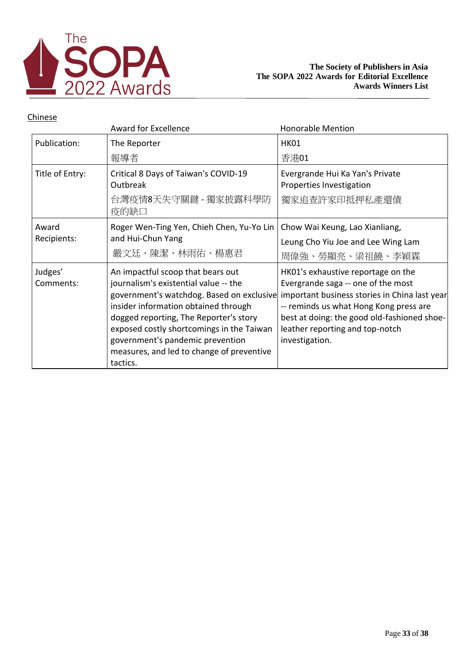

|                      | Award for Excellence                                                                                                                                                                                                                                                                                                                                | <b>Honorable Mention</b>                                                                                                                                                                                                                                                |
|----------------------|-----------------------------------------------------------------------------------------------------------------------------------------------------------------------------------------------------------------------------------------------------------------------------------------------------------------------------------------------------|-------------------------------------------------------------------------------------------------------------------------------------------------------------------------------------------------------------------------------------------------------------------------|
| Publication:         | The Reporter<br>報導者                                                                                                                                                                                                                                                                                                                                 | <b>HK01</b><br>香港01                                                                                                                                                                                                                                                     |
| Title of Entry:      | Critical 8 Days of Taiwan's COVID-19<br>Outbreak<br>台灣疫情8天失守關鍵 - 獨家披露科學防<br>疫的缺口                                                                                                                                                                                                                                                                    | Evergrande Hui Ka Yan's Private<br>Properties Investigation<br>獨家追查許家印抵押私產還債                                                                                                                                                                                            |
| Award<br>Recipients: | Roger Wen-Ting Yen, Chieh Chen, Yu-Yo Lin<br>and Hui-Chun Yang<br>嚴文廷、陳潔、林雨佑、楊惠君                                                                                                                                                                                                                                                                    | Chow Wai Keung, Lao Xianliang,<br>Leung Cho Yiu Joe and Lee Wing Lam<br>周偉強、勞顯亮、梁祖饒、李穎霖                                                                                                                                                                                 |
| Judges'<br>Comments: | An impactful scoop that bears out<br>journalism's existential value -- the<br>government's watchdog. Based on exclusive<br>insider information obtained through<br>dogged reporting, The Reporter's story<br>exposed costly shortcomings in the Taiwan<br>government's pandemic prevention<br>measures, and led to change of preventive<br>tactics. | HK01's exhaustive reportage on the<br>Evergrande saga -- one of the most<br>important business stories in China last year<br>-- reminds us what Hong Kong press are<br>best at doing: the good old-fashioned shoe-<br>leather reporting and top-notch<br>investigation. |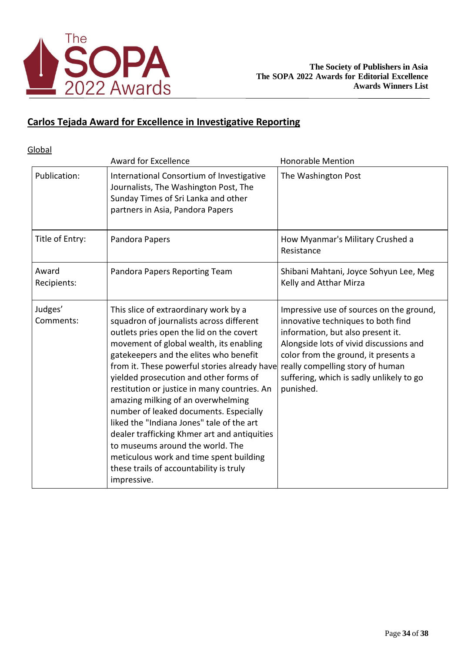

# **Carlos Tejada Award for Excellence in Investigative Reporting**

**Global** 

|                      | <b>Award for Excellence</b>                                                                                                                                                                                                                                                                                                                                                                                                                                                                                                                                                                                                                                                        | <b>Honorable Mention</b>                                                                                                                                                                                                                                                                            |
|----------------------|------------------------------------------------------------------------------------------------------------------------------------------------------------------------------------------------------------------------------------------------------------------------------------------------------------------------------------------------------------------------------------------------------------------------------------------------------------------------------------------------------------------------------------------------------------------------------------------------------------------------------------------------------------------------------------|-----------------------------------------------------------------------------------------------------------------------------------------------------------------------------------------------------------------------------------------------------------------------------------------------------|
| Publication:         | International Consortium of Investigative<br>Journalists, The Washington Post, The<br>Sunday Times of Sri Lanka and other<br>partners in Asia, Pandora Papers                                                                                                                                                                                                                                                                                                                                                                                                                                                                                                                      | The Washington Post                                                                                                                                                                                                                                                                                 |
| Title of Entry:      | Pandora Papers                                                                                                                                                                                                                                                                                                                                                                                                                                                                                                                                                                                                                                                                     | How Myanmar's Military Crushed a<br>Resistance                                                                                                                                                                                                                                                      |
| Award<br>Recipients: | Pandora Papers Reporting Team                                                                                                                                                                                                                                                                                                                                                                                                                                                                                                                                                                                                                                                      | Shibani Mahtani, Joyce Sohyun Lee, Meg<br>Kelly and Atthar Mirza                                                                                                                                                                                                                                    |
| Judges'<br>Comments: | This slice of extraordinary work by a<br>squadron of journalists across different<br>outlets pries open the lid on the covert<br>movement of global wealth, its enabling<br>gatekeepers and the elites who benefit<br>from it. These powerful stories already have<br>yielded prosecution and other forms of<br>restitution or justice in many countries. An<br>amazing milking of an overwhelming<br>number of leaked documents. Especially<br>liked the "Indiana Jones" tale of the art<br>dealer trafficking Khmer art and antiquities<br>to museums around the world. The<br>meticulous work and time spent building<br>these trails of accountability is truly<br>impressive. | Impressive use of sources on the ground,<br>innovative techniques to both find<br>information, but also present it.<br>Alongside lots of vivid discussions and<br>color from the ground, it presents a<br>really compelling story of human<br>suffering, which is sadly unlikely to go<br>punished. |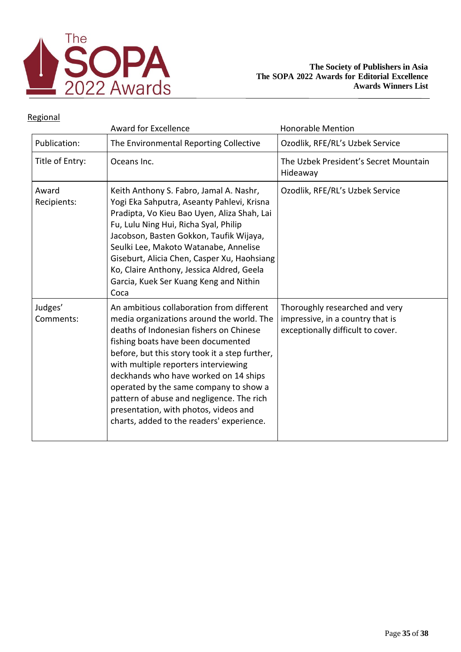

|                      | <b>Award for Excellence</b>                                                                                                                                                                                                                                                                                                                                                                                                                                                             | <b>Honorable Mention</b>                                                                                |
|----------------------|-----------------------------------------------------------------------------------------------------------------------------------------------------------------------------------------------------------------------------------------------------------------------------------------------------------------------------------------------------------------------------------------------------------------------------------------------------------------------------------------|---------------------------------------------------------------------------------------------------------|
| Publication:         | The Environmental Reporting Collective                                                                                                                                                                                                                                                                                                                                                                                                                                                  | Ozodlik, RFE/RL's Uzbek Service                                                                         |
| Title of Entry:      | Oceans Inc.                                                                                                                                                                                                                                                                                                                                                                                                                                                                             | The Uzbek President's Secret Mountain<br>Hideaway                                                       |
| Award<br>Recipients: | Keith Anthony S. Fabro, Jamal A. Nashr,<br>Yogi Eka Sahputra, Aseanty Pahlevi, Krisna<br>Pradipta, Vo Kieu Bao Uyen, Aliza Shah, Lai<br>Fu, Lulu Ning Hui, Richa Syal, Philip<br>Jacobson, Basten Gokkon, Taufik Wijaya,<br>Seulki Lee, Makoto Watanabe, Annelise<br>Giseburt, Alicia Chen, Casper Xu, Haohsiang<br>Ko, Claire Anthony, Jessica Aldred, Geela<br>Garcia, Kuek Ser Kuang Keng and Nithin<br>Coca                                                                         | Ozodlik, RFE/RL's Uzbek Service                                                                         |
| Judges'<br>Comments: | An ambitious collaboration from different<br>media organizations around the world. The<br>deaths of Indonesian fishers on Chinese<br>fishing boats have been documented<br>before, but this story took it a step further,<br>with multiple reporters interviewing<br>deckhands who have worked on 14 ships<br>operated by the same company to show a<br>pattern of abuse and negligence. The rich<br>presentation, with photos, videos and<br>charts, added to the readers' experience. | Thoroughly researched and very<br>impressive, in a country that is<br>exceptionally difficult to cover. |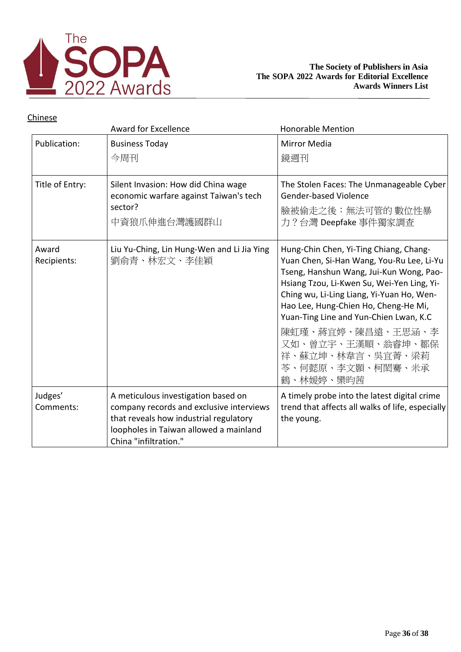

|                      | <b>Award for Excellence</b>                                                                                                                                                                  | <b>Honorable Mention</b>                                                                                                                                                                                                                                                                                                                                                                                   |
|----------------------|----------------------------------------------------------------------------------------------------------------------------------------------------------------------------------------------|------------------------------------------------------------------------------------------------------------------------------------------------------------------------------------------------------------------------------------------------------------------------------------------------------------------------------------------------------------------------------------------------------------|
| Publication:         | <b>Business Today</b><br>今周刊                                                                                                                                                                 | Mirror Media<br>鏡週刊                                                                                                                                                                                                                                                                                                                                                                                        |
| Title of Entry:      | Silent Invasion: How did China wage<br>economic warfare against Taiwan's tech<br>sector?<br>中資狼爪伸進台灣護國群山                                                                                     | The Stolen Faces: The Unmanageable Cyber<br><b>Gender-based Violence</b><br>臉被偷走之後:無法可管的 數位性暴<br>力?台灣 Deepfake 事件獨家調查                                                                                                                                                                                                                                                                                      |
| Award<br>Recipients: | Liu Yu-Ching, Lin Hung-Wen and Li Jia Ying<br>劉俞青、林宏文、李佳穎                                                                                                                                    | Hung-Chin Chen, Yi-Ting Chiang, Chang-<br>Yuan Chen, Si-Han Wang, You-Ru Lee, Li-Yu<br>Tseng, Hanshun Wang, Jui-Kun Wong, Pao-<br>Hsiang Tzou, Li-Kwen Su, Wei-Yen Ling, Yi-<br>Ching wu, Li-Ling Liang, Yi-Yuan Ho, Wen-<br>Hao Lee, Hung-Chien Ho, Cheng-He Mi,<br>Yuan-Ting Line and Yun-Chien Lwan, K.C<br>陳虹瑾、蔣宜婷、陳昌遠、王思涵、李<br>又如、曾立宇、王漢順、翁睿坤、鄒保<br>祥、蘇立坤、林韋言、吳宜菁、梁莉<br>苓、何懿原、李文顥、柯閎騫、米承<br>鶴、林媛婷、欒昀茜 |
| Judges'<br>Comments: | A meticulous investigation based on<br>company records and exclusive interviews<br>that reveals how industrial regulatory<br>loopholes in Taiwan allowed a mainland<br>China "infiltration." | A timely probe into the latest digital crime<br>trend that affects all walks of life, especially<br>the young.                                                                                                                                                                                                                                                                                             |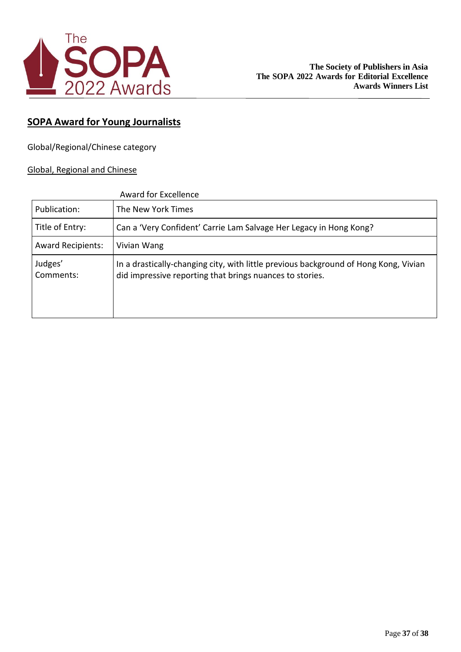

## **SOPA Award for Young Journalists**

Global/Regional/Chinese category

### Global, Regional and Chinese

|                          | Award for Excellence                                                                                                                             |
|--------------------------|--------------------------------------------------------------------------------------------------------------------------------------------------|
| Publication:             | The New York Times                                                                                                                               |
| Title of Entry:          | Can a 'Very Confident' Carrie Lam Salvage Her Legacy in Hong Kong?                                                                               |
| <b>Award Recipients:</b> | Vivian Wang                                                                                                                                      |
| Judges'<br>Comments:     | In a drastically-changing city, with little previous background of Hong Kong, Vivian<br>did impressive reporting that brings nuances to stories. |